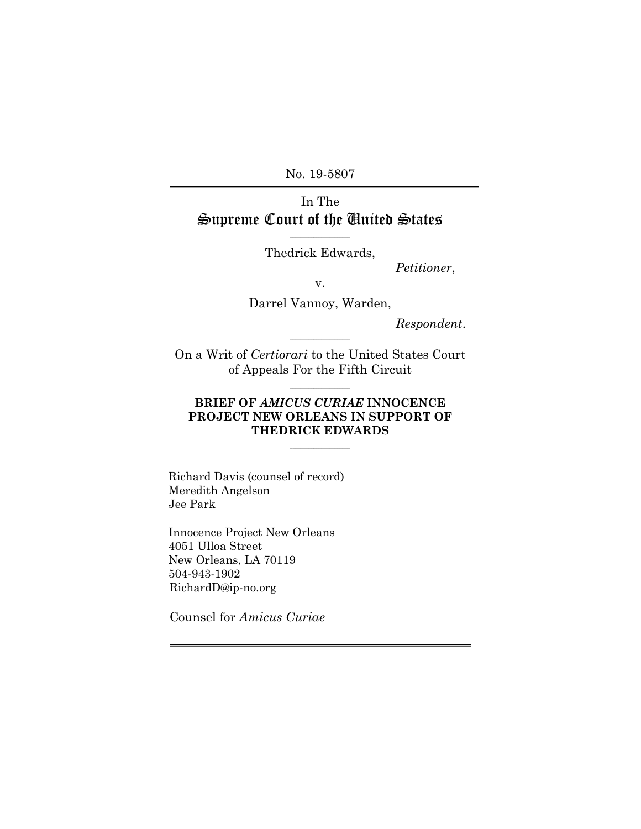No. 19-5807

# In The Supreme Court of the United States

 $\mathcal{L}=\{1,2,3,4,5\}$ Thedrick Edwards,

Petitioner,

v.

Darrel Vannoy, Warden,

Respondent.

On a Writ of Certiorari to the United States Court of Appeals For the Fifth Circuit

 $\mathcal{L}=\{1,2,3,4,5\}$ 

\_\_\_\_\_\_\_\_\_\_\_\_\_\_\_\_\_\_\_\_\_\_\_

# BRIEF OF AMICUS CURIAE INNOCENCE PROJECT NEW ORLEANS IN SUPPORT OF THEDRICK EDWARDS

 $\mathcal{L}=\{1,2,3,4,5\}$ 

Richard Davis (counsel of record) Meredith Angelson Jee Park

Innocence Project New Orleans 4051 Ulloa Street New Orleans, LA 70119 504-943-1902 RichardD@ip-no.org

Counsel for Amicus Curiae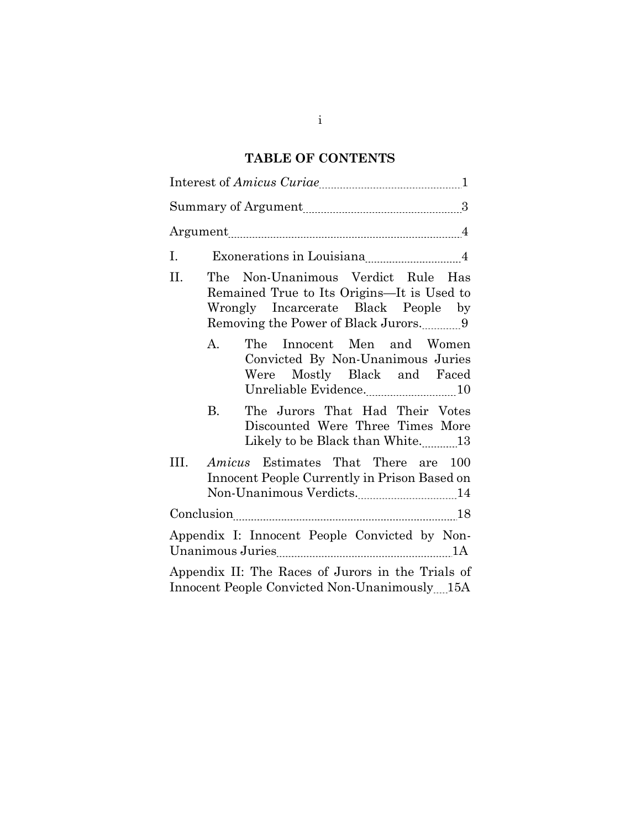# TABLE OF CONTENTS

| Ι.   |                                                                                                                               |
|------|-------------------------------------------------------------------------------------------------------------------------------|
| II.  | The Non-Unanimous Verdict Rule Has<br>Remained True to Its Origins—It is Used to<br>Wrongly Incarcerate Black People by       |
|      | The Innocent Men and Women<br>А.<br>Convicted By Non-Unanimous Juries<br>Were Mostly Black and Faced<br>Unreliable Evidence10 |
|      | The Jurors That Had Their Votes<br><b>B.</b><br>Discounted Were Three Times More                                              |
| III. | <i>Amicus</i> Estimates That There are 100<br>Innocent People Currently in Prison Based on                                    |
|      |                                                                                                                               |
|      | Appendix I: Innocent People Convicted by Non-                                                                                 |
|      | Appendix II: The Races of Jurors in the Trials of<br>Innocent People Convicted Non-Unanimously 15A                            |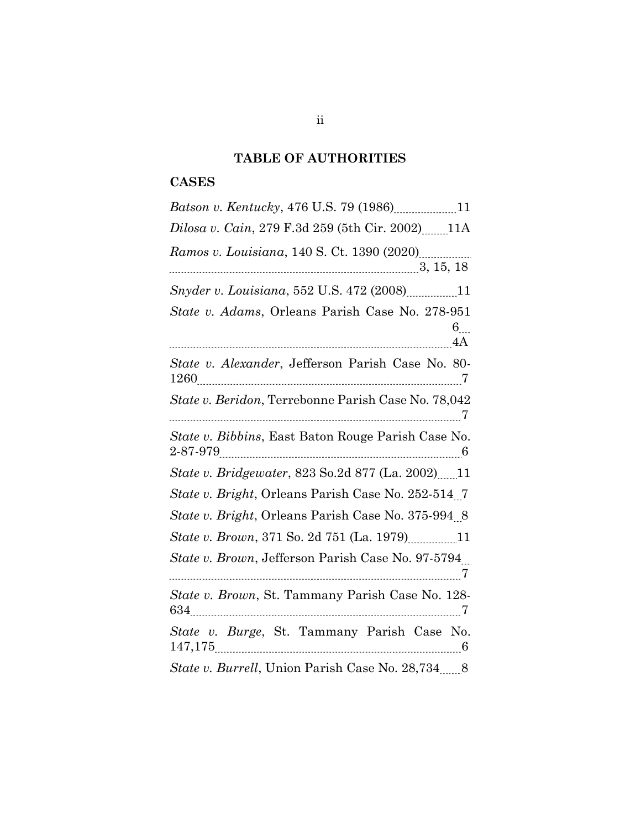# TABLE OF AUTHORITIES

# **CASES**

| Batson v. Kentucky, 476 U.S. 79 (1986)11                                 |
|--------------------------------------------------------------------------|
| Dilosa v. Cain, 279 F.3d 259 (5th Cir. 2002)11A                          |
|                                                                          |
| Snyder v. Louisiana, 552 U.S. 472 (2008)11                               |
| State v. Adams, Orleans Parish Case No. 278-951<br>$6$ <sub></sub><br>4A |
| State v. Alexander, Jefferson Parish Case No. 80-                        |
| State v. Beridon, Terrebonne Parish Case No. 78,042                      |
| State v. Bibbins, East Baton Rouge Parish Case No.                       |
| <i>State v. Bridgewater, 823 So.2d 877 (La. 2002)</i> 11                 |
| State v. Bright, Orleans Parish Case No. 252-514.7                       |
| State v. Bright, Orleans Parish Case No. 375-994.8                       |
| State v. Brown, 371 So. 2d 751 (La. 1979)                                |
| State v. Brown, Jefferson Parish Case No. 97-5794                        |
| State v. Brown, St. Tammany Parish Case No. 128-                         |
| State v. Burge, St. Tammany Parish Case No.                              |
| State v. Burrell, Union Parish Case No. 28,734 8                         |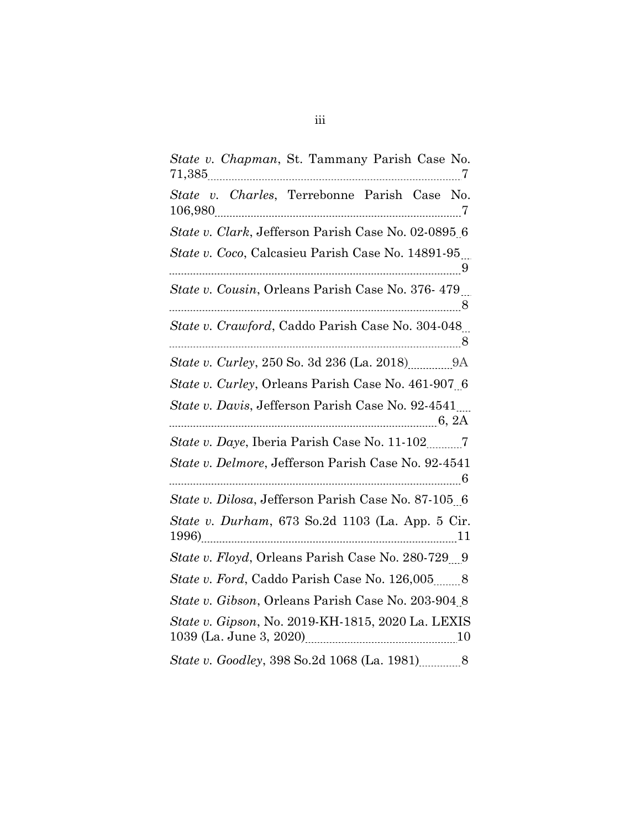| State v. Chapman, St. Tammany Parish Case No.               |
|-------------------------------------------------------------|
| State v. Charles, Terrebonne Parish Case No.                |
| State v. Clark, Jefferson Parish Case No. 02-0895 6         |
| State v. Coco, Calcasieu Parish Case No. 14891-95           |
| State v. Cousin, Orleans Parish Case No. 376-479            |
| State v. Crawford, Caddo Parish Case No. 304-048            |
|                                                             |
| State v. Curley, Orleans Parish Case No. 461-907 6          |
| State v. Davis, Jefferson Parish Case No. 92-4541<br>6, 2A  |
|                                                             |
| State v. Delmore, Jefferson Parish Case No. 92-4541         |
| State v. Dilosa, Jefferson Parish Case No. 87-105 6         |
| State v. Durham, 673 So.2d 1103 (La. App. 5 Cir.            |
| <i>State v. Floyd, Orleans Parish Case No. 280-729</i> 9    |
| <i>State v. Ford, Caddo Parish Case No. 126,005</i> _____ 8 |
| State v. Gibson, Orleans Parish Case No. 203-904 8          |
| State v. Gipson, No. 2019-KH-1815, 2020 La. LEXIS           |
|                                                             |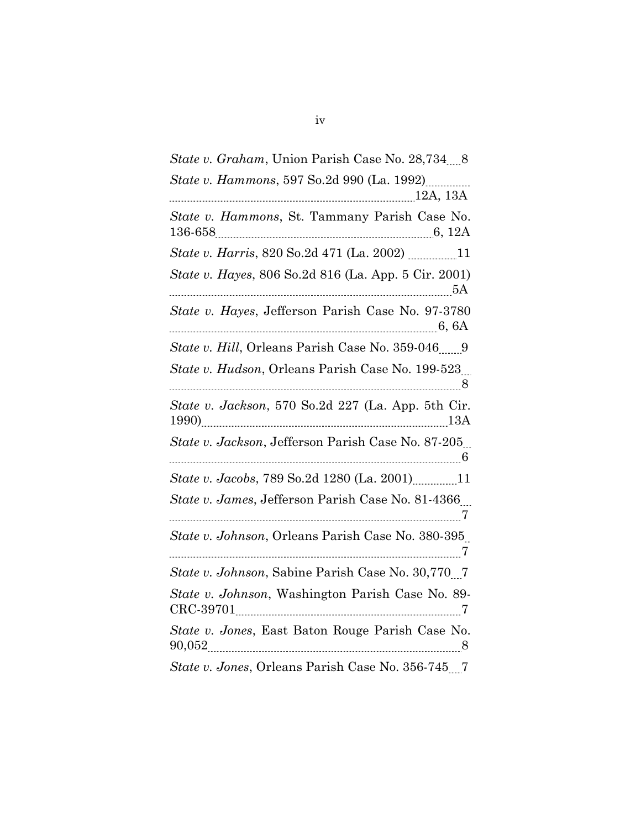| State v. Graham, Union Parish Case No. 28,734 8            |
|------------------------------------------------------------|
| State v. Hammons, 597 So.2d 990 (La. 1992)                 |
| State v. Hammons, St. Tammany Parish Case No.              |
|                                                            |
| State v. Hayes, 806 So.2d 816 (La. App. 5 Cir. 2001)<br>5A |
| State v. Hayes, Jefferson Parish Case No. 97-3780<br>6, 6A |
| State v. Hill, Orleans Parish Case No. 359-046 9           |
| State v. Hudson, Orleans Parish Case No. 199-523           |
| State v. Jackson, 570 So.2d 227 (La. App. 5th Cir.         |
| State v. Jackson, Jefferson Parish Case No. 87-205.        |
|                                                            |
| State v. James, Jefferson Parish Case No. 81-4366          |
| State v. Johnson, Orleans Parish Case No. 380-395          |
| State v. Johnson, Sabine Parish Case No. 30,770 7          |
| State v. Johnson, Washington Parish Case No. 89-           |
| State v. Jones, East Baton Rouge Parish Case No.           |
| State v. Jones, Orleans Parish Case No. 356-745 7          |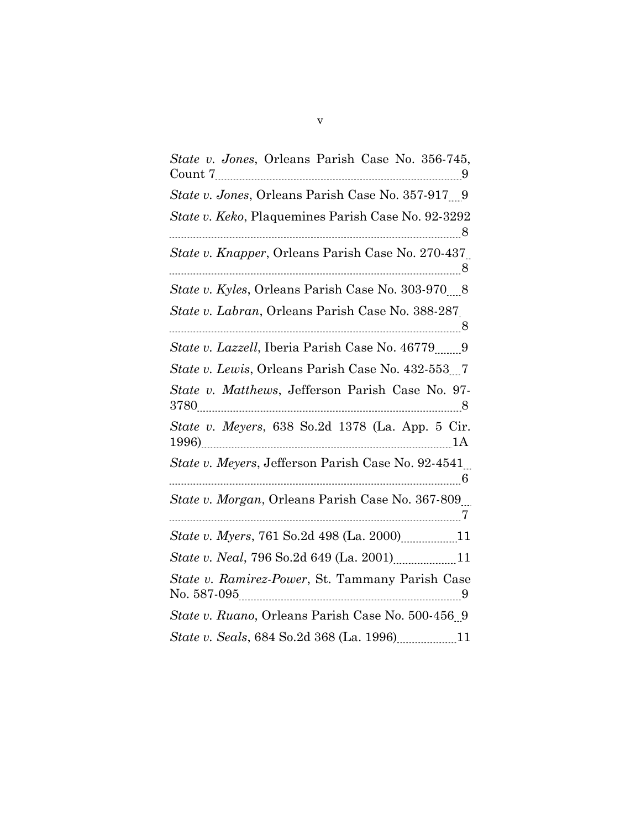| State v. Jones, Orleans Parish Case No. 356-745,          |
|-----------------------------------------------------------|
| State v. Jones, Orleans Parish Case No. 357-917 9         |
| State v. Keko, Plaquemines Parish Case No. 92-3292        |
| <i>State v. Knapper, Orleans Parish Case No. 270-437</i>  |
| State v. Kyles, Orleans Parish Case No. 303-970 8         |
| <i>State v. Labran, Orleans Parish Case No. 388-287</i>   |
| <i>State v. Lazzell</i> , Iberia Parish Case No. 46779 9  |
|                                                           |
| State v. Matthews, Jefferson Parish Case No. 97-          |
| State v. Meyers, 638 So.2d 1378 (La. App. 5 Cir.          |
| <i>State v. Meyers, Jefferson Parish Case No. 92-4541</i> |
| State v. Morgan, Orleans Parish Case No. 367-809          |
|                                                           |
| State v. Neal, 796 So.2d 649 (La. 2001) 11                |
| State v. Ramirez-Power, St. Tammany Parish Case           |
| State v. Ruano, Orleans Parish Case No. 500-456 9         |
|                                                           |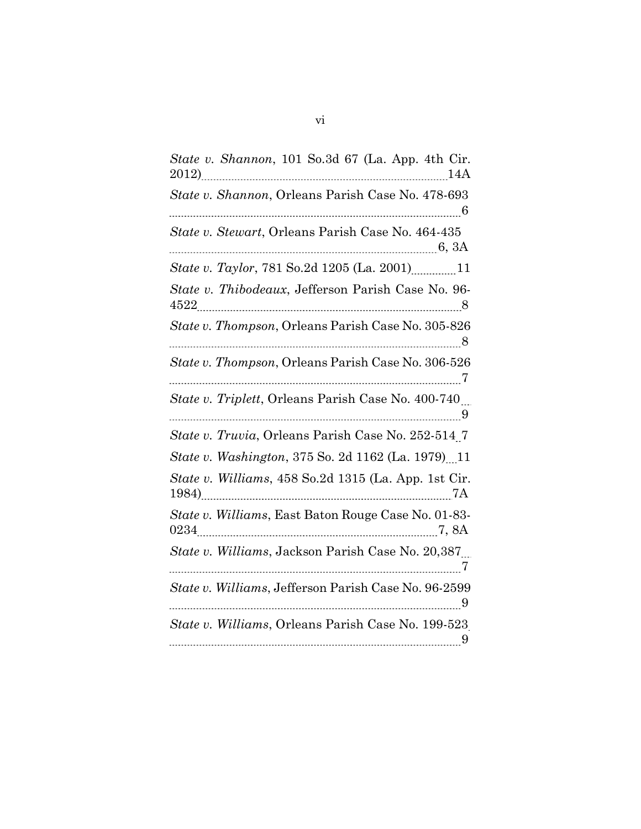| State v. Shannon, 101 So.3d 67 (La. App. 4th Cir.<br>$2012)$ $14A$ |
|--------------------------------------------------------------------|
| State v. Shannon, Orleans Parish Case No. 478-693                  |
| State v. Stewart, Orleans Parish Case No. 464-435                  |
|                                                                    |
| State v. Thibodeaux, Jefferson Parish Case No. 96-                 |
| State v. Thompson, Orleans Parish Case No. 305-826                 |
| State v. Thompson, Orleans Parish Case No. 306-526                 |
| State v. Triplett, Orleans Parish Case No. 400-740                 |
| State v. Truvia, Orleans Parish Case No. 252-514.7                 |
| State v. Washington, 375 So. 2d 1162 (La. 1979) 11                 |
| State v. Williams, 458 So.2d 1315 (La. App. 1st Cir.               |
| State v. Williams, East Baton Rouge Case No. 01-83-                |
| State v. Williams, Jackson Parish Case No. 20,387                  |
| State v. Williams, Jefferson Parish Case No. 96-2599               |
| State v. Williams, Orleans Parish Case No. 199-523                 |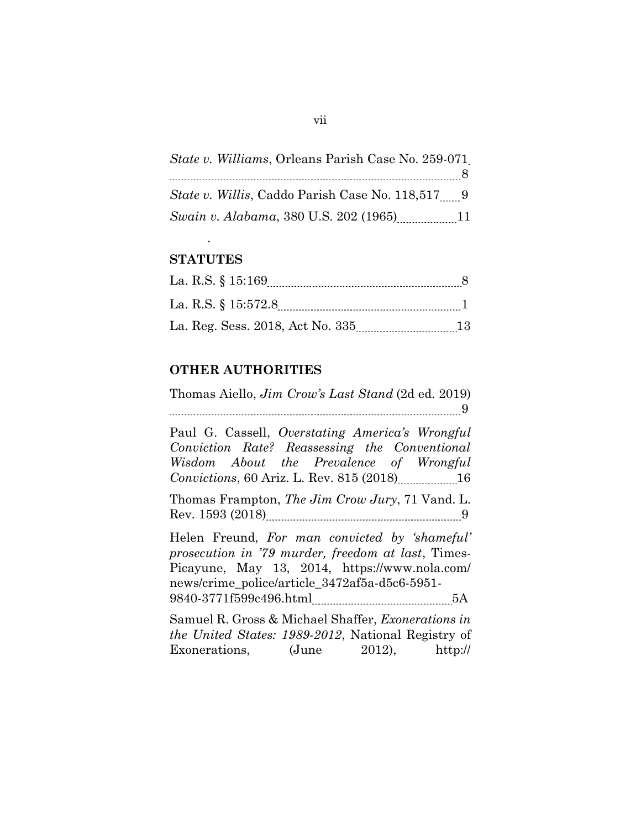| <i>State v. Williams, Orleans Parish Case No. 259-071</i> |                |
|-----------------------------------------------------------|----------------|
|                                                           | 8 <sup>8</sup> |
| <i>State v. Willis, Caddo Parish Case No.</i> 118,517 9   |                |
| Swain v. Alabama, 380 U.S. 202 (1965)                     | 11             |

# **STATUTES**

.

| La. R.S. § 15:169                |    |
|----------------------------------|----|
| La. R.S. § 15:572.8              |    |
| La. Reg. Sess. 2018, Act No. 335 | 13 |

# OTHER AUTHORITIES

Thomas Aiello, Jim Crow's Last Stand (2d ed. 2019) 9 Paul G. Cassell, Overstating America's Wrongful Conviction Rate? Reassessing the Conventional Wisdom About the Prevalence of Wrongful Convictions, 60 Ariz. L. Rev. 815 (2018)...................16 Thomas Frampton, The Jim Crow Jury, 71 Vand. L. Rev. 1593 (2018) 9 Helen Freund, For man convicted by 'shameful' prosecution in '79 murder, freedom at last, Times-Picayune, May 13, 2014, https://www.nola.com/ news/crime\_police/article\_3472af5a-d5c6-5951- 9840-3771f599c496.html \_\_\_\_\_\_\_\_\_\_\_\_\_\_\_\_\_\_\_\_\_\_\_\_\_\_\_\_\_\_\_\_\_\_5A Samuel R. Gross & Michael Shaffer, Exonerations in the United States: 1989-2012, National Registry of Exonerations,  $(June \t2012)$ , http://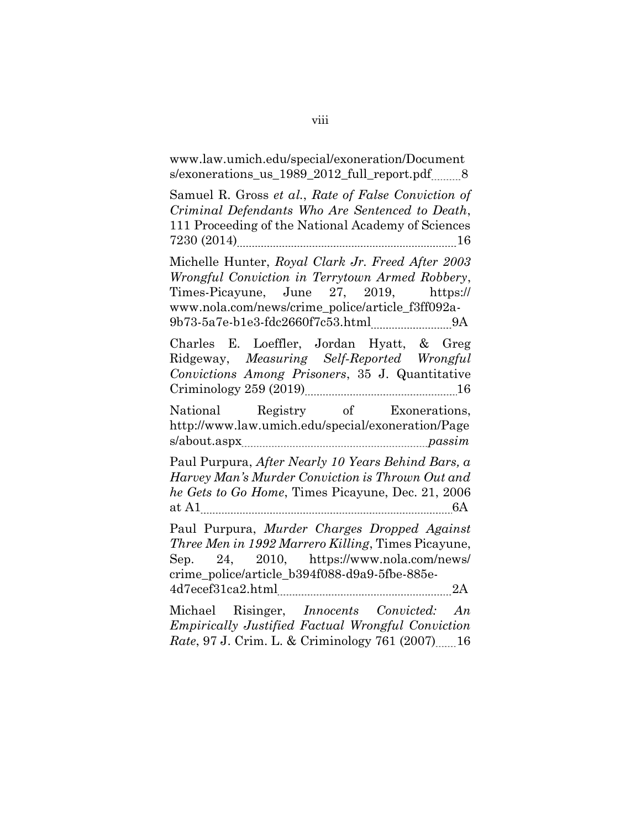www.law.umich.edu/special/exoneration/Document s/exonerations us 1989 2012 full report.pdf 8

Samuel R. Gross et al., Rate of False Conviction of Criminal Defendants Who Are Sentenced to Death, 111 Proceeding of the National Academy of Sciences 7230 (2014) 16

Michelle Hunter, Royal Clark Jr. Freed After 2003 Wrongful Conviction in Terrytown Armed Robbery, Times-Picayune, June 27, 2019, https:// www.nola.com/news/crime\_police/article\_f3ff092a-9b73-5a7e-b1e3-fdc2660f7c53.html 9A

Charles E. Loeffler, Jordan Hyatt, & Greg Ridgeway, Measuring Self‑Reported Wrongful Convictions Among Prisoners, 35 J. Quantitative Criminology 259 (2019) 16

National Registry of Exonerations, http://www.law.umich.edu/special/exoneration/Page  $s$ /about.aspx $m$ 

Paul Purpura, After Nearly 10 Years Behind Bars, a Harvey Man's Murder Conviction is Thrown Out and he Gets to Go Home, Times Picayune, Dec. 21, 2006 at A1 6A

Paul Purpura, Murder Charges Dropped Against Three Men in 1992 Marrero Killing, Times Picayune, Sep. 24, 2010, https://www.nola.com/news/ crime\_police/article\_b394f088-d9a9-5fbe-885e-4d7ecef31ca2.html 2A

Michael Risinger, Innocents Convicted: An Empirically Justified Factual Wrongful Conviction Rate, 97 J. Crim. L. & Criminology 761 (2007) 16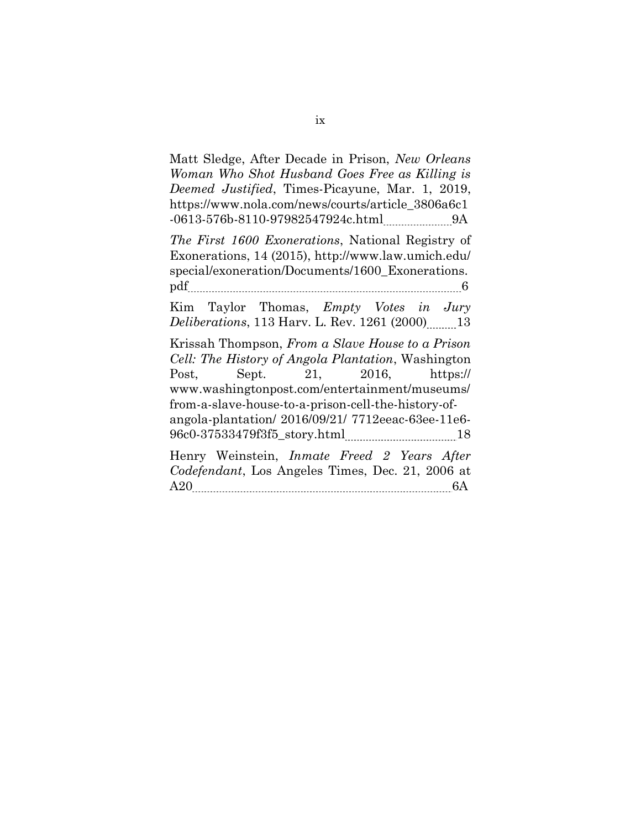Matt Sledge, After Decade in Prison, New Orleans Woman Who Shot Husband Goes Free as Killing is Deemed Justified, Times-Picayune, Mar. 1, 2019, https://www.nola.com/news/courts/article\_3806a6c1 -0613-576b-8110-97982547924c.html 9A

The First 1600 Exonerations, National Registry of Exonerations, 14 (2015), http://www.law.umich.edu/ special/exoneration/Documents/1600\_Exonerations. pdf 6

Kim Taylor Thomas, Empty Votes in Jury Deliberations, 113 Harv. L. Rev. 1261 (2000) 13

Krissah Thompson, From a Slave House to a Prison Cell: The History of Angola Plantation, Washington Post, Sept. 21, 2016, https:// www.washingtonpost.com/entertainment/museums/ from-a-slave-house-to-a-prison-cell-the-history-ofangola-plantation/ 2016/09/21/ 7712eeac-63ee-11e6- 96c0-37533479f3f5\_story.html 18

Henry Weinstein, Inmate Freed 2 Years After Codefendant, Los Angeles Times, Dec. 21, 2006 at A20 6A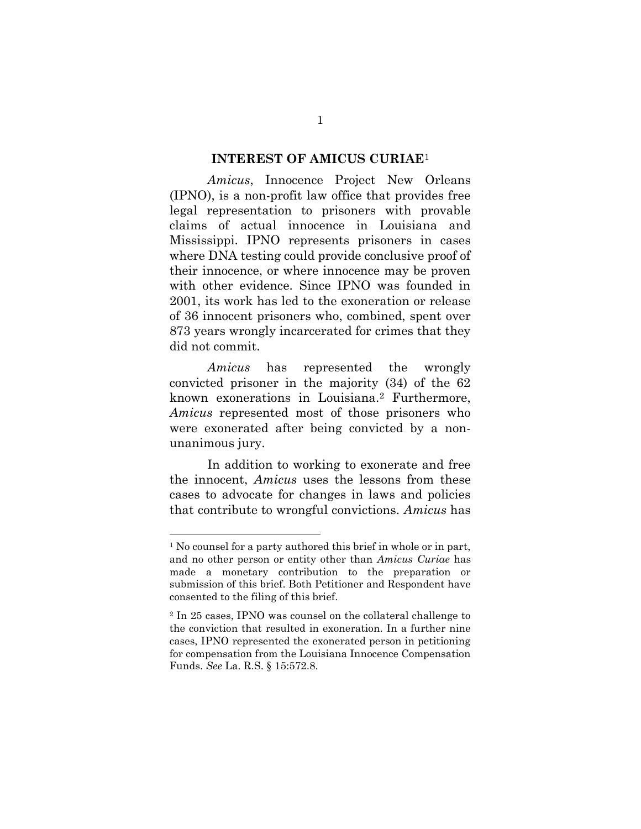#### INTEREST OF AMICUS CURIAE<sup>1</sup>

Amicus, Innocence Project New Orleans (IPNO), is a non-profit law office that provides free legal representation to prisoners with provable claims of actual innocence in Louisiana and Mississippi. IPNO represents prisoners in cases where DNA testing could provide conclusive proof of their innocence, or where innocence may be proven with other evidence. Since IPNO was founded in 2001, its work has led to the exoneration or release of 36 innocent prisoners who, combined, spent over 873 years wrongly incarcerated for crimes that they did not commit.

Amicus has represented the wrongly convicted prisoner in the majority (34) of the 62 known exonerations in Louisiana.2 Furthermore, Amicus represented most of those prisoners who were exonerated after being convicted by a nonunanimous jury.

In addition to working to exonerate and free the innocent, Amicus uses the lessons from these cases to advocate for changes in laws and policies that contribute to wrongful convictions. Amicus has

<sup>&</sup>lt;sup>1</sup> No counsel for a party authored this brief in whole or in part, and no other person or entity other than Amicus Curiae has made a monetary contribution to the preparation or submission of this brief. Both Petitioner and Respondent have consented to the filing of this brief.

<sup>2</sup> In 25 cases, IPNO was counsel on the collateral challenge to the conviction that resulted in exoneration. In a further nine cases, IPNO represented the exonerated person in petitioning for compensation from the Louisiana Innocence Compensation Funds. See La. R.S. § 15:572.8.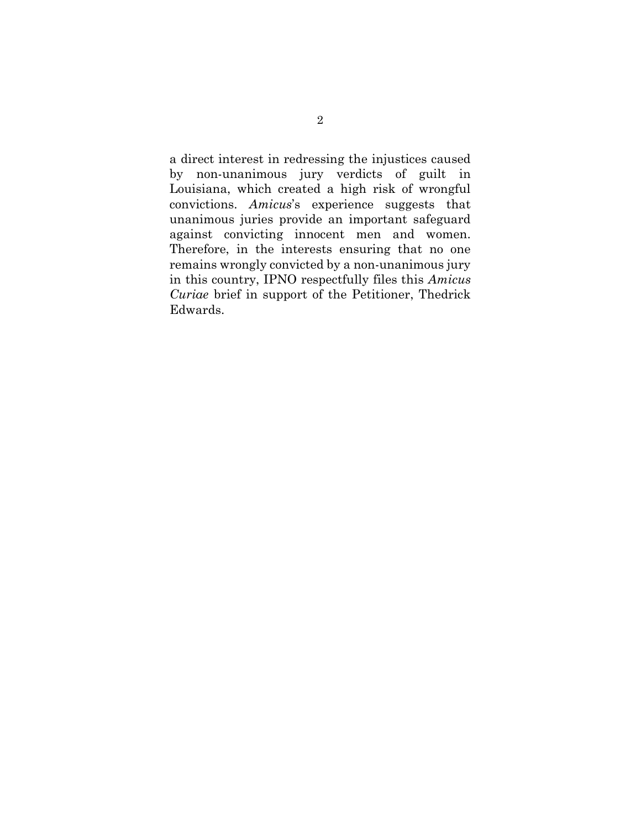a direct interest in redressing the injustices caused by non-unanimous jury verdicts of guilt in Louisiana, which created a high risk of wrongful convictions. Amicus's experience suggests that unanimous juries provide an important safeguard against convicting innocent men and women. Therefore, in the interests ensuring that no one remains wrongly convicted by a non-unanimous jury in this country, IPNO respectfully files this Amicus Curiae brief in support of the Petitioner, Thedrick Edwards.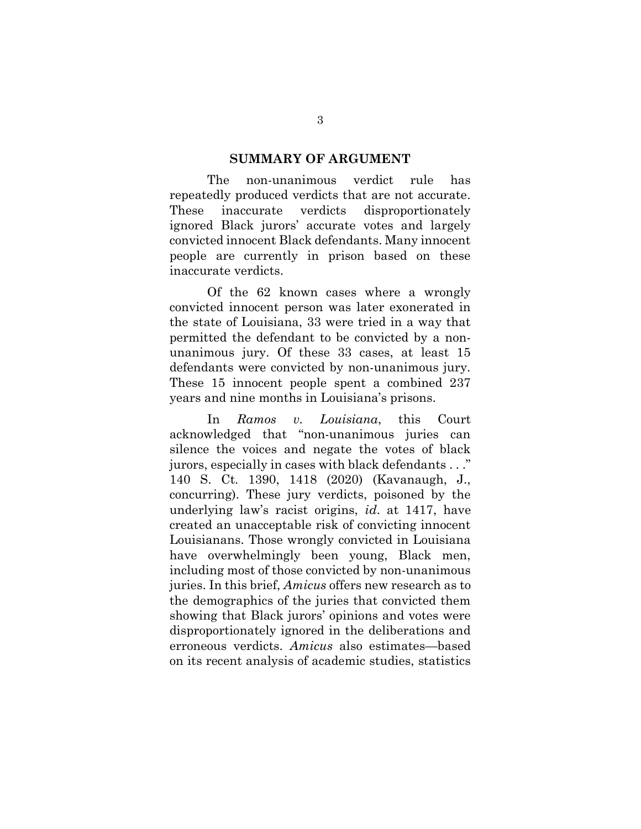#### SUMMARY OF ARGUMENT

The non-unanimous verdict rule has repeatedly produced verdicts that are not accurate. These inaccurate verdicts disproportionately ignored Black jurors' accurate votes and largely convicted innocent Black defendants. Many innocent people are currently in prison based on these inaccurate verdicts.

Of the 62 known cases where a wrongly convicted innocent person was later exonerated in the state of Louisiana, 33 were tried in a way that permitted the defendant to be convicted by a nonunanimous jury. Of these 33 cases, at least 15 defendants were convicted by non-unanimous jury. These 15 innocent people spent a combined 237 years and nine months in Louisiana's prisons.

In Ramos v. Louisiana, this Court acknowledged that "non-unanimous juries can silence the voices and negate the votes of black jurors, especially in cases with black defendants . . ." 140 S. Ct. 1390, 1418 (2020) (Kavanaugh, J., concurring). These jury verdicts, poisoned by the underlying law's racist origins, id. at 1417, have created an unacceptable risk of convicting innocent Louisianans. Those wrongly convicted in Louisiana have overwhelmingly been young, Black men, including most of those convicted by non-unanimous juries. In this brief, Amicus offers new research as to the demographics of the juries that convicted them showing that Black jurors' opinions and votes were disproportionately ignored in the deliberations and erroneous verdicts. Amicus also estimates—based on its recent analysis of academic studies, statistics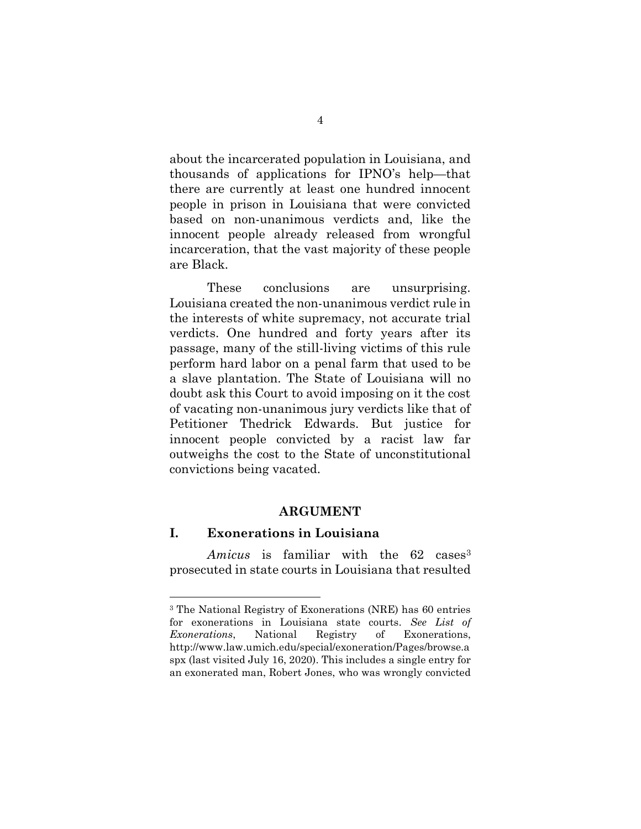about the incarcerated population in Louisiana, and thousands of applications for IPNO's help—that there are currently at least one hundred innocent people in prison in Louisiana that were convicted based on non-unanimous verdicts and, like the innocent people already released from wrongful incarceration, that the vast majority of these people are Black.

These conclusions are unsurprising. Louisiana created the non-unanimous verdict rule in the interests of white supremacy, not accurate trial verdicts. One hundred and forty years after its passage, many of the still-living victims of this rule perform hard labor on a penal farm that used to be a slave plantation. The State of Louisiana will no doubt ask this Court to avoid imposing on it the cost of vacating non-unanimous jury verdicts like that of Petitioner Thedrick Edwards. But justice for innocent people convicted by a racist law far outweighs the cost to the State of unconstitutional convictions being vacated.

### ARGUMENT

## I. Exonerations in Louisiana

-

Amicus is familiar with the 62 cases<sup>3</sup> prosecuted in state courts in Louisiana that resulted

<sup>3</sup> The National Registry of Exonerations (NRE) has 60 entries for exonerations in Louisiana state courts. See List of Exonerations, National Registry of Exonerations, http://www.law.umich.edu/special/exoneration/Pages/browse.a spx (last visited July 16, 2020). This includes a single entry for an exonerated man, Robert Jones, who was wrongly convicted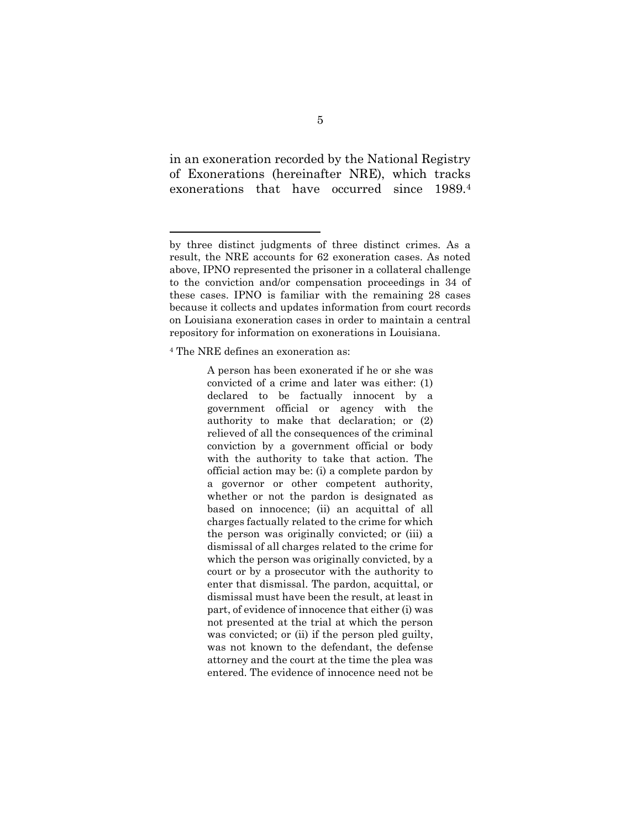in an exoneration recorded by the National Registry of Exonerations (hereinafter NRE), which tracks exonerations that have occurred since 1989.<sup>4</sup>

<sup>4</sup> The NRE defines an exoneration as:

-

A person has been exonerated if he or she was convicted of a crime and later was either: (1) declared to be factually innocent by a government official or agency with the authority to make that declaration; or (2) relieved of all the consequences of the criminal conviction by a government official or body with the authority to take that action. The official action may be: (i) a complete pardon by a governor or other competent authority, whether or not the pardon is designated as based on innocence; (ii) an acquittal of all charges factually related to the crime for which the person was originally convicted; or (iii) a dismissal of all charges related to the crime for which the person was originally convicted, by a court or by a prosecutor with the authority to enter that dismissal. The pardon, acquittal, or dismissal must have been the result, at least in part, of evidence of innocence that either (i) was not presented at the trial at which the person was convicted; or (ii) if the person pled guilty, was not known to the defendant, the defense attorney and the court at the time the plea was entered. The evidence of innocence need not be

by three distinct judgments of three distinct crimes. As a result, the NRE accounts for 62 exoneration cases. As noted above, IPNO represented the prisoner in a collateral challenge to the conviction and/or compensation proceedings in 34 of these cases. IPNO is familiar with the remaining 28 cases because it collects and updates information from court records on Louisiana exoneration cases in order to maintain a central repository for information on exonerations in Louisiana.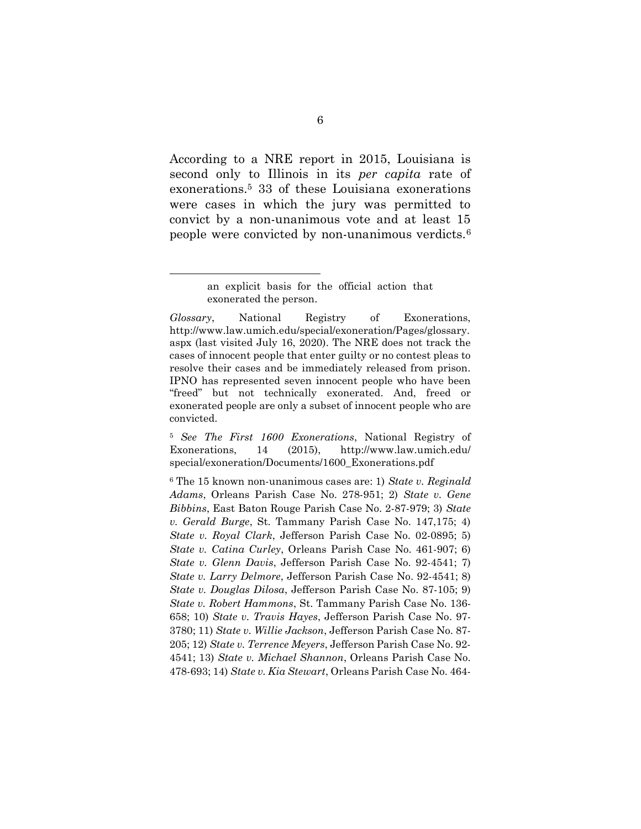According to a NRE report in 2015, Louisiana is second only to Illinois in its per capita rate of exonerations.5 33 of these Louisiana exonerations were cases in which the jury was permitted to convict by a non-unanimous vote and at least 15 people were convicted by non-unanimous verdicts.<sup>6</sup>

-

<sup>5</sup> See The First 1600 Exonerations, National Registry of Exonerations, 14 (2015), http://www.law.umich.edu/ special/exoneration/Documents/1600\_Exonerations.pdf

 $6$  The 15 known non-unanimous cases are: 1) State v. Reginald Adams, Orleans Parish Case No. 278-951; 2) State v. Gene Bibbins, East Baton Rouge Parish Case No. 2-87-979; 3) State v. Gerald Burge, St. Tammany Parish Case No. 147,175; 4) State v. Royal Clark, Jefferson Parish Case No. 02-0895; 5) State v. Catina Curley, Orleans Parish Case No. 461-907; 6) State v. Glenn Davis, Jefferson Parish Case No. 92-4541; 7) State v. Larry Delmore, Jefferson Parish Case No. 92-4541; 8) State v. Douglas Dilosa, Jefferson Parish Case No. 87-105; 9) State v. Robert Hammons, St. Tammany Parish Case No. 136- 658; 10) State v. Travis Hayes, Jefferson Parish Case No. 97- 3780; 11) State v. Willie Jackson, Jefferson Parish Case No. 87- 205; 12) State v. Terrence Meyers, Jefferson Parish Case No. 92- 4541; 13) State v. Michael Shannon, Orleans Parish Case No. 478-693; 14) State v. Kia Stewart, Orleans Parish Case No. 464-

an explicit basis for the official action that exonerated the person.

Glossary, National Registry of Exonerations, http://www.law.umich.edu/special/exoneration/Pages/glossary. aspx (last visited July 16, 2020). The NRE does not track the cases of innocent people that enter guilty or no contest pleas to resolve their cases and be immediately released from prison. IPNO has represented seven innocent people who have been "freed" but not technically exonerated. And, freed or exonerated people are only a subset of innocent people who are convicted.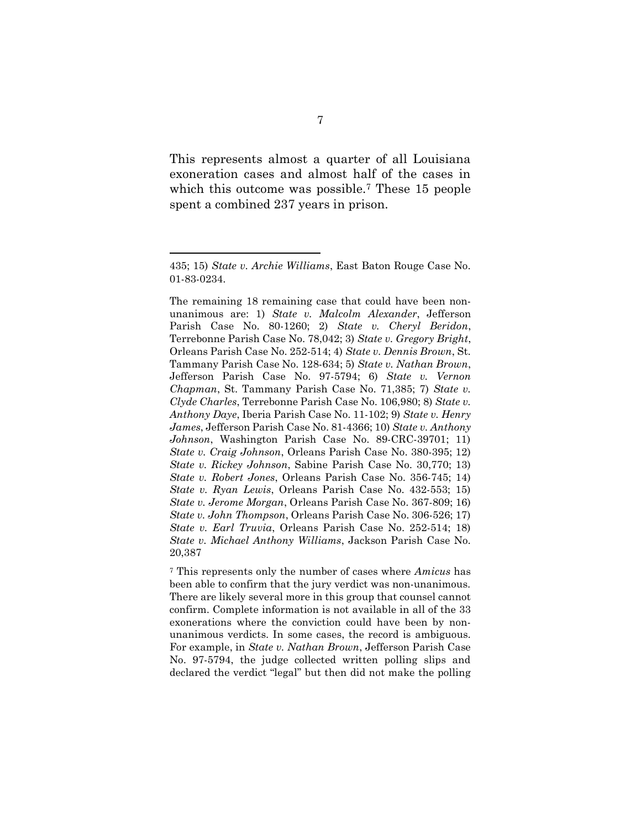This represents almost a quarter of all Louisiana exoneration cases and almost half of the cases in which this outcome was possible.<sup>7</sup> These 15 people spent a combined 237 years in prison.

-

<sup>7</sup> This represents only the number of cases where Amicus has been able to confirm that the jury verdict was non-unanimous. There are likely several more in this group that counsel cannot confirm. Complete information is not available in all of the 33 exonerations where the conviction could have been by nonunanimous verdicts. In some cases, the record is ambiguous. For example, in State v. Nathan Brown, Jefferson Parish Case No. 97-5794, the judge collected written polling slips and declared the verdict "legal" but then did not make the polling

<sup>435; 15)</sup> State v. Archie Williams, East Baton Rouge Case No. 01-83-0234.

The remaining 18 remaining case that could have been nonunanimous are: 1) State v. Malcolm Alexander, Jefferson Parish Case No. 80-1260; 2) State v. Cheryl Beridon, Terrebonne Parish Case No. 78,042; 3) State v. Gregory Bright, Orleans Parish Case No. 252-514; 4) State v. Dennis Brown, St. Tammany Parish Case No. 128-634; 5) State v. Nathan Brown, Jefferson Parish Case No. 97-5794; 6) State v. Vernon Chapman, St. Tammany Parish Case No. 71,385; 7) State v. Clyde Charles, Terrebonne Parish Case No. 106,980; 8) State v. Anthony Daye, Iberia Parish Case No. 11-102; 9) State v. Henry James, Jefferson Parish Case No. 81-4366; 10) State v. Anthony Johnson, Washington Parish Case No. 89-CRC-39701; 11) State v. Craig Johnson, Orleans Parish Case No. 380-395; 12) State v. Rickey Johnson, Sabine Parish Case No. 30,770; 13) State v. Robert Jones, Orleans Parish Case No. 356-745; 14) State v. Ryan Lewis, Orleans Parish Case No. 432-553; 15) State v. Jerome Morgan, Orleans Parish Case No. 367-809; 16) State v. John Thompson, Orleans Parish Case No. 306-526; 17) State v. Earl Truvia, Orleans Parish Case No. 252-514; 18) State v. Michael Anthony Williams, Jackson Parish Case No. 20,387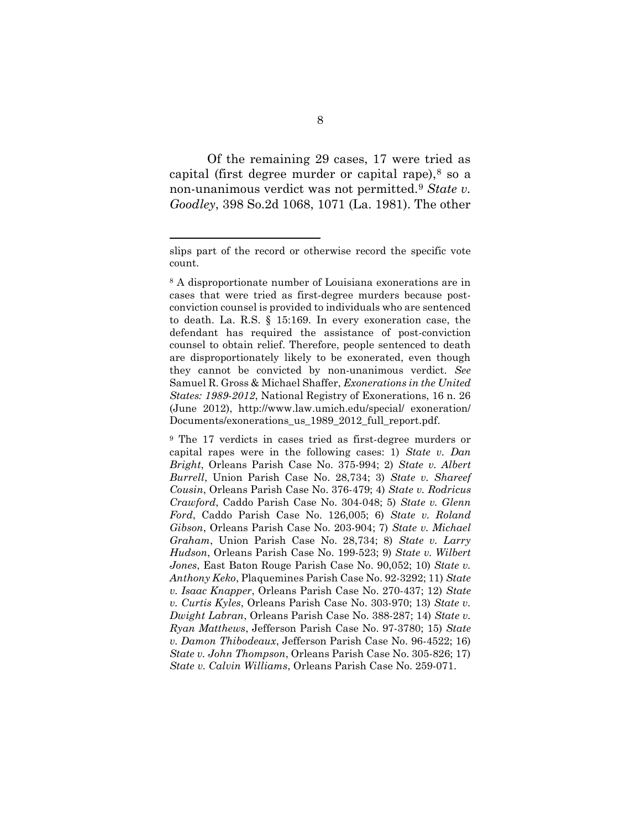Of the remaining 29 cases, 17 were tried as capital (first degree murder or capital rape), $8$  so a non-unanimous verdict was not permitted.<sup>9</sup> State v. Goodley, 398 So.2d 1068, 1071 (La. 1981). The other

-

<sup>9</sup> The 17 verdicts in cases tried as first-degree murders or capital rapes were in the following cases: 1) State v. Dan Bright, Orleans Parish Case No. 375-994; 2) State v. Albert Burrell, Union Parish Case No. 28,734; 3) State v. Shareef Cousin, Orleans Parish Case No. 376-479; 4) State v. Rodricus Crawford, Caddo Parish Case No. 304-048; 5) State v. Glenn Ford, Caddo Parish Case No. 126,005; 6) State v. Roland Gibson, Orleans Parish Case No. 203-904; 7) State v. Michael Graham, Union Parish Case No. 28,734; 8) State v. Larry Hudson, Orleans Parish Case No. 199-523; 9) State v. Wilbert Jones, East Baton Rouge Parish Case No. 90,052; 10) State v. Anthony Keko, Plaquemines Parish Case No. 92-3292; 11) State v. Isaac Knapper, Orleans Parish Case No. 270-437; 12) State v. Curtis Kyles, Orleans Parish Case No. 303-970; 13) State v. Dwight Labran, Orleans Parish Case No. 388-287; 14) State v. Ryan Matthews, Jefferson Parish Case No. 97-3780; 15) State v. Damon Thibodeaux, Jefferson Parish Case No. 96-4522; 16) State v. John Thompson, Orleans Parish Case No. 305-826; 17) State v. Calvin Williams, Orleans Parish Case No. 259-071.

slips part of the record or otherwise record the specific vote count.

<sup>8</sup> A disproportionate number of Louisiana exonerations are in cases that were tried as first-degree murders because postconviction counsel is provided to individuals who are sentenced to death. La. R.S. § 15:169. In every exoneration case, the defendant has required the assistance of post-conviction counsel to obtain relief. Therefore, people sentenced to death are disproportionately likely to be exonerated, even though they cannot be convicted by non-unanimous verdict. See Samuel R. Gross & Michael Shaffer, Exonerations in the United States: 1989-2012, National Registry of Exonerations, 16 n. 26 (June 2012), http://www.law.umich.edu/special/ exoneration/ Documents/exonerations\_us\_1989\_2012\_full\_report.pdf.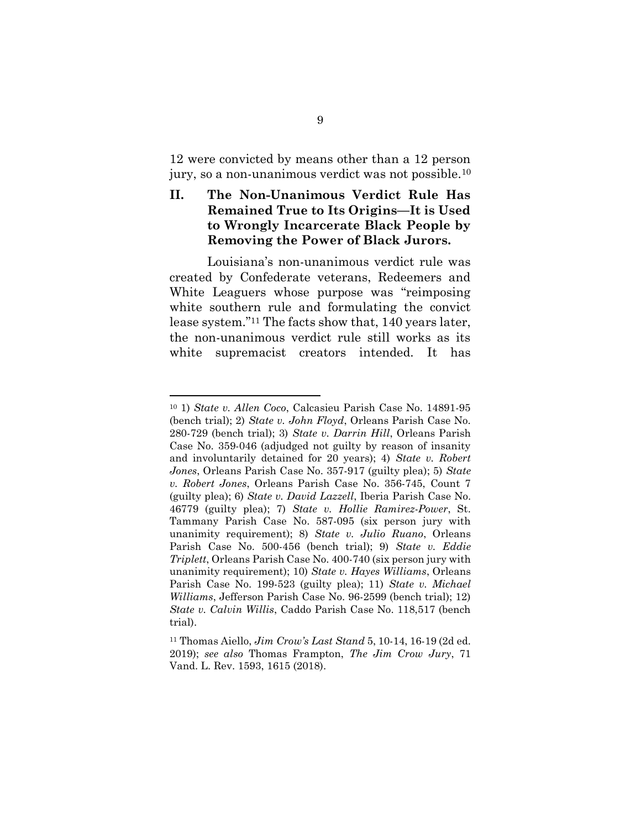12 were convicted by means other than a 12 person jury, so a non-unanimous verdict was not possible.<sup>10</sup>

# II. The Non-Unanimous Verdict Rule Has Remained True to Its Origins—It is Used to Wrongly Incarcerate Black People by Removing the Power of Black Jurors.

 Louisiana's non-unanimous verdict rule was created by Confederate veterans, Redeemers and White Leaguers whose purpose was "reimposing white southern rule and formulating the convict lease system."11 The facts show that, 140 years later, the non-unanimous verdict rule still works as its white supremacist creators intended. It has

<sup>10</sup> 1) State v. Allen Coco, Calcasieu Parish Case No. 14891-95 (bench trial); 2) State v. John Floyd, Orleans Parish Case No. 280-729 (bench trial); 3) State v. Darrin Hill, Orleans Parish Case No. 359-046 (adjudged not guilty by reason of insanity and involuntarily detained for 20 years); 4) State v. Robert Jones, Orleans Parish Case No. 357-917 (guilty plea); 5) State v. Robert Jones, Orleans Parish Case No. 356-745, Count 7 (guilty plea); 6) State v. David Lazzell, Iberia Parish Case No. 46779 (guilty plea); 7) State v. Hollie Ramirez-Power, St. Tammany Parish Case No. 587-095 (six person jury with unanimity requirement); 8) State v. Julio Ruano, Orleans Parish Case No. 500-456 (bench trial); 9) State v. Eddie Triplett, Orleans Parish Case No. 400-740 (six person jury with unanimity requirement); 10) State v. Hayes Williams, Orleans Parish Case No. 199-523 (guilty plea); 11) State v. Michael Williams, Jefferson Parish Case No. 96-2599 (bench trial); 12) State v. Calvin Willis, Caddo Parish Case No. 118,517 (bench trial).

<sup>11</sup> Thomas Aiello, Jim Crow's Last Stand 5, 10-14, 16-19 (2d ed. 2019); see also Thomas Frampton, The Jim Crow Jury, 71 Vand. L. Rev. 1593, 1615 (2018).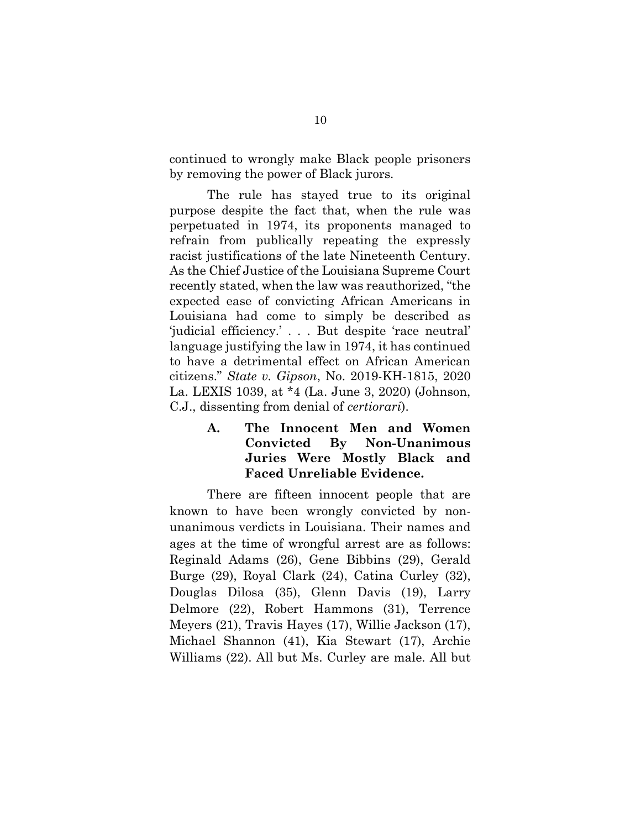continued to wrongly make Black people prisoners by removing the power of Black jurors.

The rule has stayed true to its original purpose despite the fact that, when the rule was perpetuated in 1974, its proponents managed to refrain from publically repeating the expressly racist justifications of the late Nineteenth Century. As the Chief Justice of the Louisiana Supreme Court recently stated, when the law was reauthorized, "the expected ease of convicting African Americans in Louisiana had come to simply be described as 'judicial efficiency.' . . . But despite 'race neutral' language justifying the law in 1974, it has continued to have a detrimental effect on African American citizens." State v. Gipson, No. 2019-KH-1815, 2020 La. LEXIS 1039, at \*4 (La. June 3, 2020) (Johnson, C.J., dissenting from denial of certiorari).

> A. The Innocent Men and Women Convicted By Non-Unanimous Juries Were Mostly Black and Faced Unreliable Evidence.

There are fifteen innocent people that are known to have been wrongly convicted by nonunanimous verdicts in Louisiana. Their names and ages at the time of wrongful arrest are as follows: Reginald Adams (26), Gene Bibbins (29), Gerald Burge (29), Royal Clark (24), Catina Curley (32), Douglas Dilosa (35), Glenn Davis (19), Larry Delmore (22), Robert Hammons (31), Terrence Meyers (21), Travis Hayes (17), Willie Jackson (17), Michael Shannon (41), Kia Stewart (17), Archie Williams (22). All but Ms. Curley are male. All but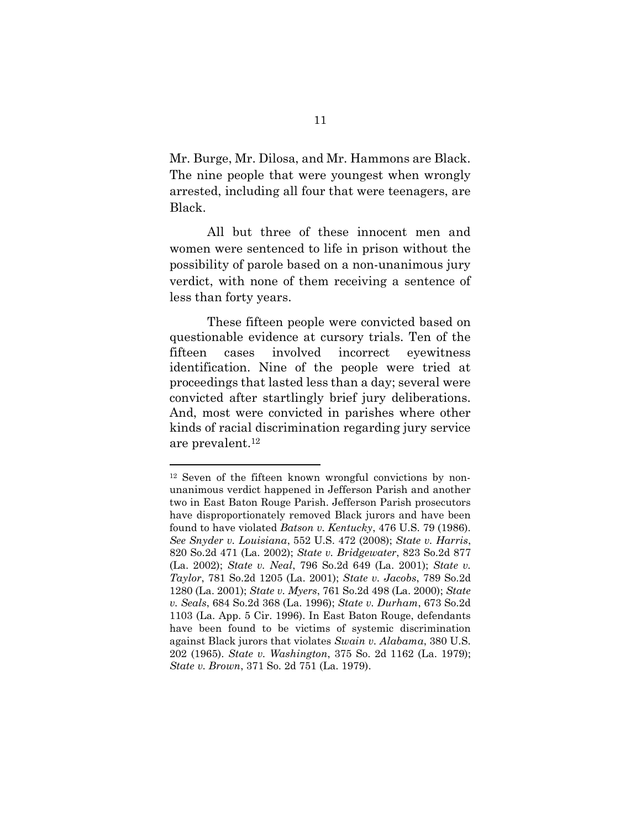Mr. Burge, Mr. Dilosa, and Mr. Hammons are Black. The nine people that were youngest when wrongly arrested, including all four that were teenagers, are Black.

All but three of these innocent men and women were sentenced to life in prison without the possibility of parole based on a non-unanimous jury verdict, with none of them receiving a sentence of less than forty years.

These fifteen people were convicted based on questionable evidence at cursory trials. Ten of the fifteen cases involved incorrect eyewitness identification. Nine of the people were tried at proceedings that lasted less than a day; several were convicted after startlingly brief jury deliberations. And, most were convicted in parishes where other kinds of racial discrimination regarding jury service are prevalent.<sup>12</sup>

<sup>12</sup> Seven of the fifteen known wrongful convictions by nonunanimous verdict happened in Jefferson Parish and another two in East Baton Rouge Parish. Jefferson Parish prosecutors have disproportionately removed Black jurors and have been found to have violated Batson v. Kentucky, 476 U.S. 79 (1986). See Snyder v. Louisiana, 552 U.S. 472 (2008); State v. Harris, 820 So.2d 471 (La. 2002); State v. Bridgewater, 823 So.2d 877 (La. 2002); State v. Neal, 796 So.2d 649 (La. 2001); State v. Taylor, 781 So.2d 1205 (La. 2001); State v. Jacobs, 789 So.2d 1280 (La. 2001); State v. Myers, 761 So.2d 498 (La. 2000); State v. Seals, 684 So.2d 368 (La. 1996); State v. Durham, 673 So.2d 1103 (La. App. 5 Cir. 1996). In East Baton Rouge, defendants have been found to be victims of systemic discrimination against Black jurors that violates Swain v. Alabama, 380 U.S. 202 (1965). State v. Washington, 375 So. 2d 1162 (La. 1979); State v. Brown, 371 So. 2d 751 (La. 1979).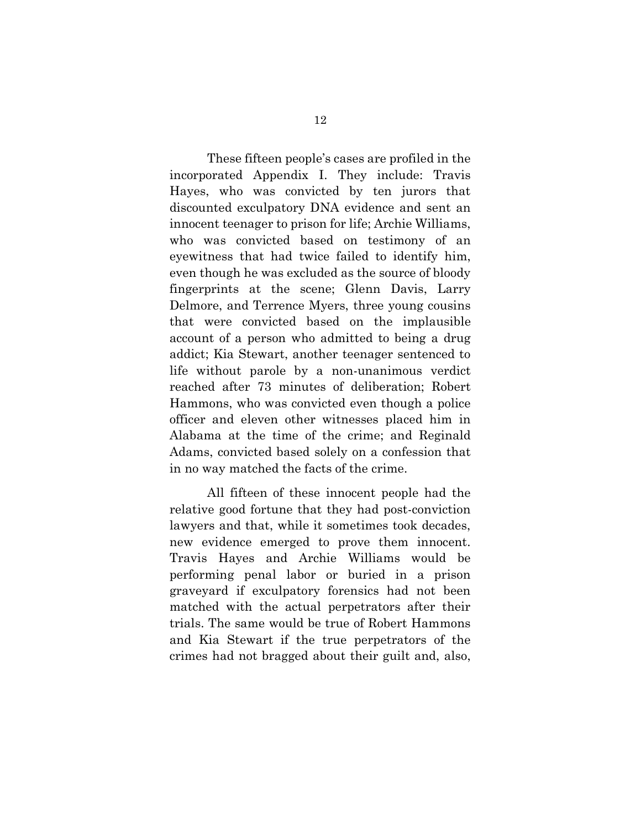These fifteen people's cases are profiled in the incorporated Appendix I. They include: Travis Hayes, who was convicted by ten jurors that discounted exculpatory DNA evidence and sent an innocent teenager to prison for life; Archie Williams, who was convicted based on testimony of an eyewitness that had twice failed to identify him, even though he was excluded as the source of bloody fingerprints at the scene; Glenn Davis, Larry Delmore, and Terrence Myers, three young cousins that were convicted based on the implausible account of a person who admitted to being a drug addict; Kia Stewart, another teenager sentenced to life without parole by a non-unanimous verdict reached after 73 minutes of deliberation; Robert Hammons, who was convicted even though a police officer and eleven other witnesses placed him in Alabama at the time of the crime; and Reginald Adams, convicted based solely on a confession that in no way matched the facts of the crime.

All fifteen of these innocent people had the relative good fortune that they had post-conviction lawyers and that, while it sometimes took decades, new evidence emerged to prove them innocent. Travis Hayes and Archie Williams would be performing penal labor or buried in a prison graveyard if exculpatory forensics had not been matched with the actual perpetrators after their trials. The same would be true of Robert Hammons and Kia Stewart if the true perpetrators of the crimes had not bragged about their guilt and, also,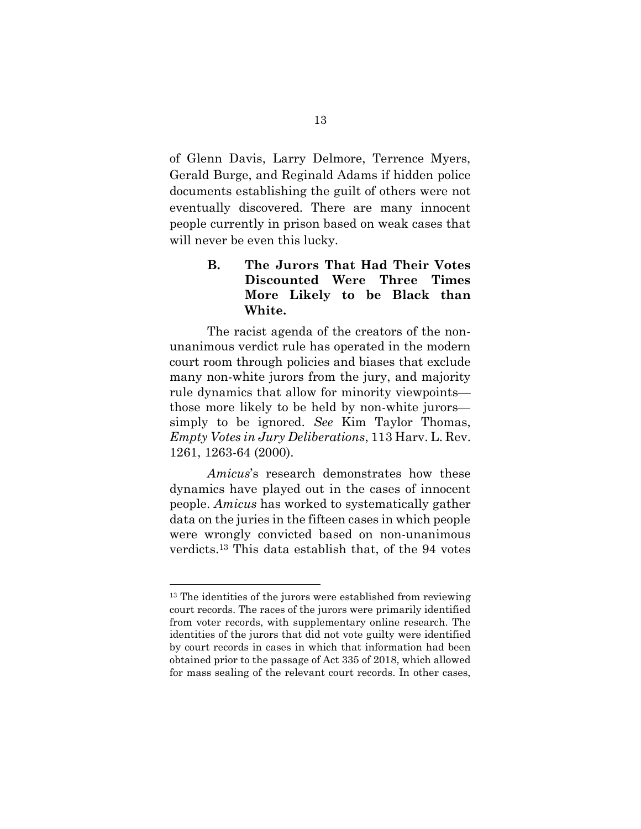of Glenn Davis, Larry Delmore, Terrence Myers, Gerald Burge, and Reginald Adams if hidden police documents establishing the guilt of others were not eventually discovered. There are many innocent people currently in prison based on weak cases that will never be even this lucky.

# B. The Jurors That Had Their Votes Discounted Were Three Times More Likely to be Black than White.

The racist agenda of the creators of the nonunanimous verdict rule has operated in the modern court room through policies and biases that exclude many non-white jurors from the jury, and majority rule dynamics that allow for minority viewpoints those more likely to be held by non-white jurors simply to be ignored. See Kim Taylor Thomas, Empty Votes in Jury Deliberations, 113 Harv. L. Rev. 1261, 1263-64 (2000).

Amicus's research demonstrates how these dynamics have played out in the cases of innocent people. Amicus has worked to systematically gather data on the juries in the fifteen cases in which people were wrongly convicted based on non-unanimous verdicts.13 This data establish that, of the 94 votes

<sup>&</sup>lt;sup>13</sup> The identities of the jurors were established from reviewing court records. The races of the jurors were primarily identified from voter records, with supplementary online research. The identities of the jurors that did not vote guilty were identified by court records in cases in which that information had been obtained prior to the passage of Act 335 of 2018, which allowed for mass sealing of the relevant court records. In other cases,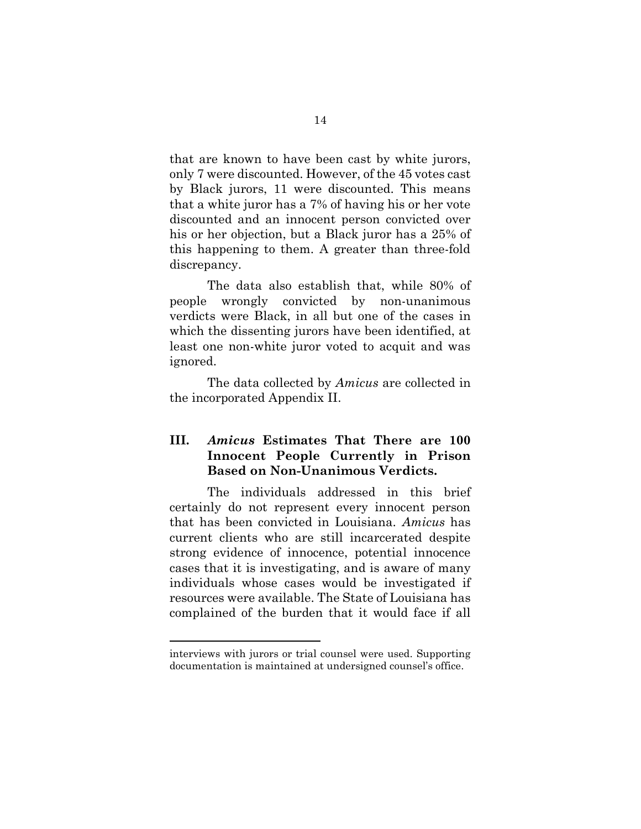that are known to have been cast by white jurors, only 7 were discounted. However, of the 45 votes cast by Black jurors, 11 were discounted. This means that a white juror has a 7% of having his or her vote discounted and an innocent person convicted over his or her objection, but a Black juror has a 25% of this happening to them. A greater than three-fold discrepancy.

 The data also establish that, while 80% of people wrongly convicted by non-unanimous verdicts were Black, in all but one of the cases in which the dissenting jurors have been identified, at least one non-white juror voted to acquit and was ignored.

The data collected by *Amicus* are collected in the incorporated Appendix II.

# III. Amicus Estimates That There are 100 Innocent People Currently in Prison Based on Non-Unanimous Verdicts.

The individuals addressed in this brief certainly do not represent every innocent person that has been convicted in Louisiana. Amicus has current clients who are still incarcerated despite strong evidence of innocence, potential innocence cases that it is investigating, and is aware of many individuals whose cases would be investigated if resources were available. The State of Louisiana has complained of the burden that it would face if all

interviews with jurors or trial counsel were used. Supporting documentation is maintained at undersigned counsel's office.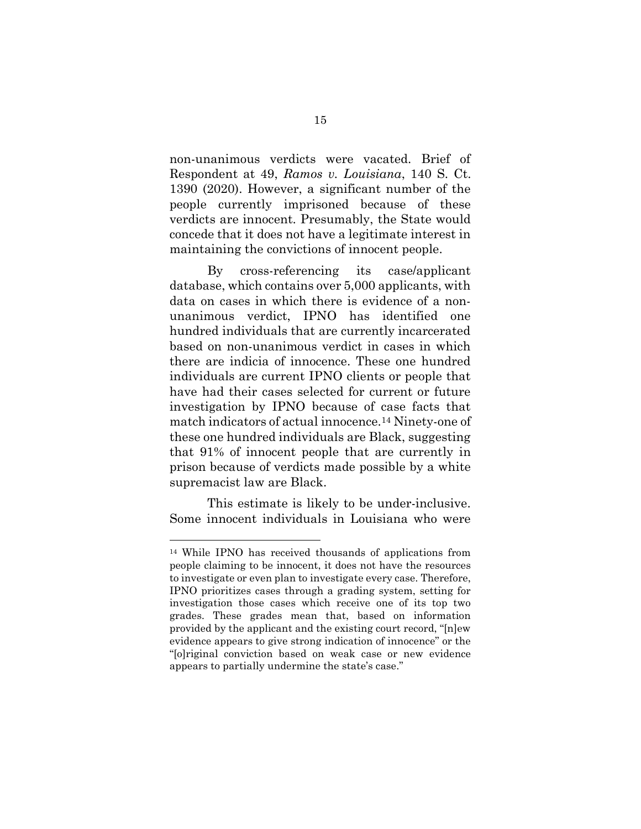non-unanimous verdicts were vacated. Brief of Respondent at 49, Ramos v. Louisiana, 140 S. Ct. 1390 (2020). However, a significant number of the people currently imprisoned because of these verdicts are innocent. Presumably, the State would concede that it does not have a legitimate interest in maintaining the convictions of innocent people.

 By cross-referencing its case/applicant database, which contains over 5,000 applicants, with data on cases in which there is evidence of a nonunanimous verdict, IPNO has identified one hundred individuals that are currently incarcerated based on non-unanimous verdict in cases in which there are indicia of innocence. These one hundred individuals are current IPNO clients or people that have had their cases selected for current or future investigation by IPNO because of case facts that match indicators of actual innocence.14 Ninety-one of these one hundred individuals are Black, suggesting that 91% of innocent people that are currently in prison because of verdicts made possible by a white supremacist law are Black.

 This estimate is likely to be under-inclusive. Some innocent individuals in Louisiana who were

<sup>14</sup> While IPNO has received thousands of applications from people claiming to be innocent, it does not have the resources to investigate or even plan to investigate every case. Therefore, IPNO prioritizes cases through a grading system, setting for investigation those cases which receive one of its top two grades. These grades mean that, based on information provided by the applicant and the existing court record, "[n]ew evidence appears to give strong indication of innocence" or the "[o]riginal conviction based on weak case or new evidence appears to partially undermine the state's case."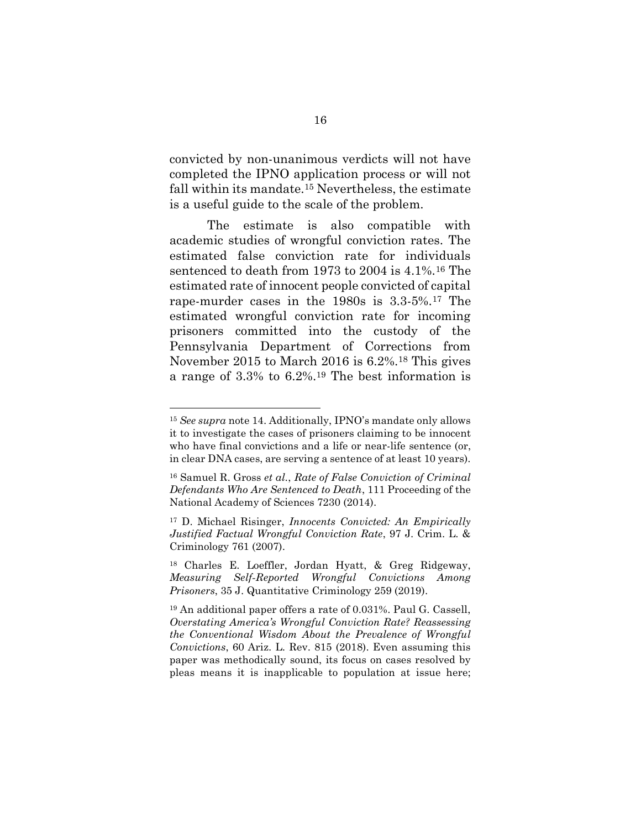convicted by non-unanimous verdicts will not have completed the IPNO application process or will not fall within its mandate.15 Nevertheless, the estimate is a useful guide to the scale of the problem.

The estimate is also compatible with academic studies of wrongful conviction rates. The estimated false conviction rate for individuals sentenced to death from 1973 to 2004 is 4.1%.16 The estimated rate of innocent people convicted of capital rape-murder cases in the 1980s is 3.3-5%.17 The estimated wrongful conviction rate for incoming prisoners committed into the custody of the Pennsylvania Department of Corrections from November 2015 to March 2016 is 6.2%.18 This gives a range of 3.3% to 6.2%.19 The best information is

<sup>&</sup>lt;sup>15</sup> See supra note 14. Additionally, IPNO's mandate only allows it to investigate the cases of prisoners claiming to be innocent who have final convictions and a life or near-life sentence (or, in clear DNA cases, are serving a sentence of at least 10 years).

<sup>16</sup> Samuel R. Gross et al., Rate of False Conviction of Criminal Defendants Who Are Sentenced to Death, 111 Proceeding of the National Academy of Sciences 7230 (2014).

<sup>17</sup> D. Michael Risinger, Innocents Convicted: An Empirically Justified Factual Wrongful Conviction Rate, 97 J. Crim. L. & Criminology 761 (2007).

<sup>18</sup> Charles E. Loeffler, Jordan Hyatt, & Greg Ridgeway, Measuring Self‑Reported Wrongful Convictions Among Prisoners, 35 J. Quantitative Criminology 259 (2019).

<sup>19</sup> An additional paper offers a rate of 0.031%. Paul G. Cassell, Overstating America's Wrongful Conviction Rate? Reassessing the Conventional Wisdom About the Prevalence of Wrongful Convictions, 60 Ariz. L. Rev. 815 (2018). Even assuming this paper was methodically sound, its focus on cases resolved by pleas means it is inapplicable to population at issue here;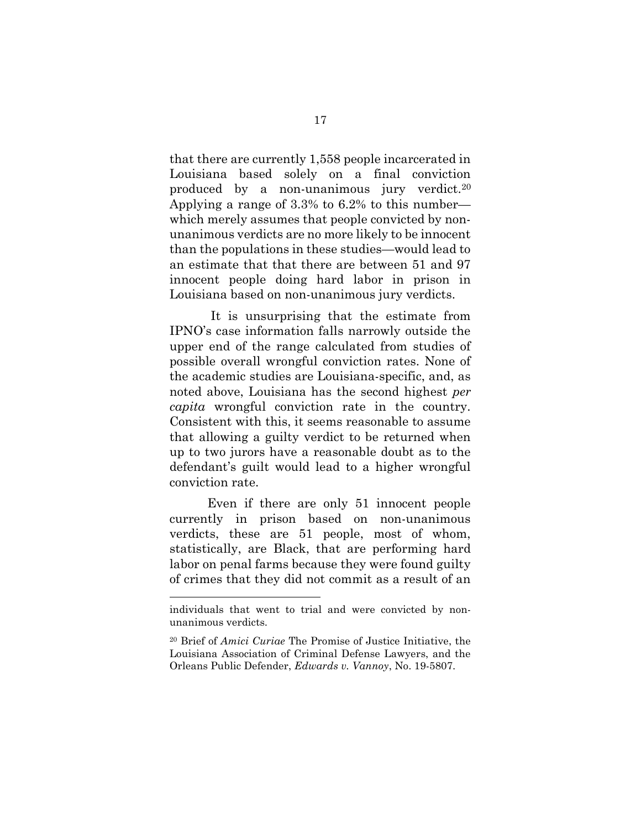that there are currently 1,558 people incarcerated in Louisiana based solely on a final conviction produced by a non-unanimous jury verdict.<sup>20</sup> Applying a range of 3.3% to 6.2% to this number which merely assumes that people convicted by nonunanimous verdicts are no more likely to be innocent than the populations in these studies—would lead to an estimate that that there are between 51 and 97 innocent people doing hard labor in prison in Louisiana based on non-unanimous jury verdicts.

 It is unsurprising that the estimate from IPNO's case information falls narrowly outside the upper end of the range calculated from studies of possible overall wrongful conviction rates. None of the academic studies are Louisiana-specific, and, as noted above, Louisiana has the second highest per capita wrongful conviction rate in the country. Consistent with this, it seems reasonable to assume that allowing a guilty verdict to be returned when up to two jurors have a reasonable doubt as to the defendant's guilt would lead to a higher wrongful conviction rate.

 Even if there are only 51 innocent people currently in prison based on non-unanimous verdicts, these are 51 people, most of whom, statistically, are Black, that are performing hard labor on penal farms because they were found guilty of crimes that they did not commit as a result of an

individuals that went to trial and were convicted by nonunanimous verdicts.

<sup>20</sup> Brief of Amici Curiae The Promise of Justice Initiative, the Louisiana Association of Criminal Defense Lawyers, and the Orleans Public Defender, Edwards v. Vannoy, No. 19-5807.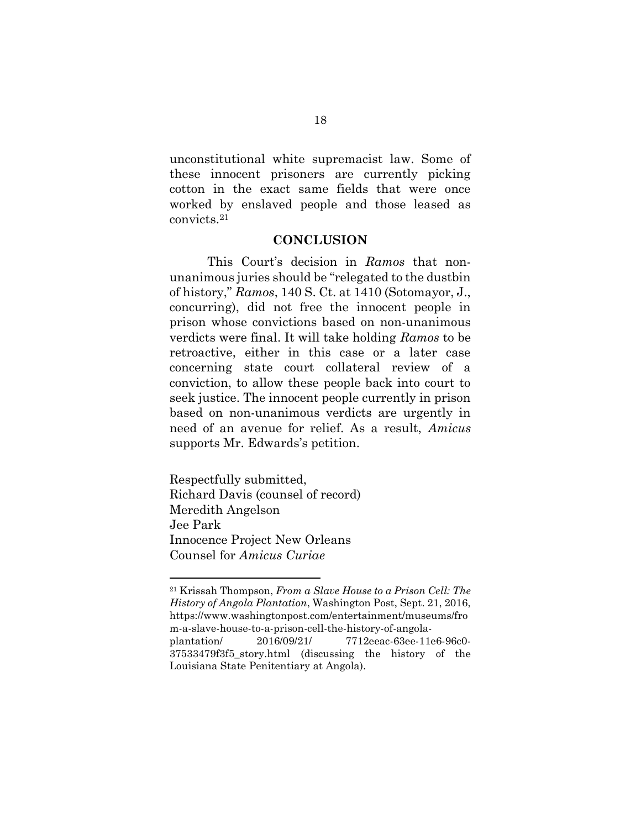unconstitutional white supremacist law. Some of these innocent prisoners are currently picking cotton in the exact same fields that were once worked by enslaved people and those leased as convicts.<sup>21</sup>

## **CONCLUSION**

This Court's decision in Ramos that nonunanimous juries should be "relegated to the dustbin of history," Ramos, 140 S. Ct. at 1410 (Sotomayor, J., concurring), did not free the innocent people in prison whose convictions based on non-unanimous verdicts were final. It will take holding Ramos to be retroactive, either in this case or a later case concerning state court collateral review of a conviction, to allow these people back into court to seek justice. The innocent people currently in prison based on non-unanimous verdicts are urgently in need of an avenue for relief. As a result, Amicus supports Mr. Edwards's petition.

Respectfully submitted, Richard Davis (counsel of record) Meredith Angelson Jee Park Innocence Project New Orleans Counsel for Amicus Curiae

 $21$  Krissah Thompson, From a Slave House to a Prison Cell: The History of Angola Plantation, Washington Post, Sept. 21, 2016, https://www.washingtonpost.com/entertainment/museums/fro m-a-slave-house-to-a-prison-cell-the-history-of-angolaplantation/ 2016/09/21/ 7712eeac-63ee-11e6-96c0- 37533479f3f5\_story.html (discussing the history of the Louisiana State Penitentiary at Angola).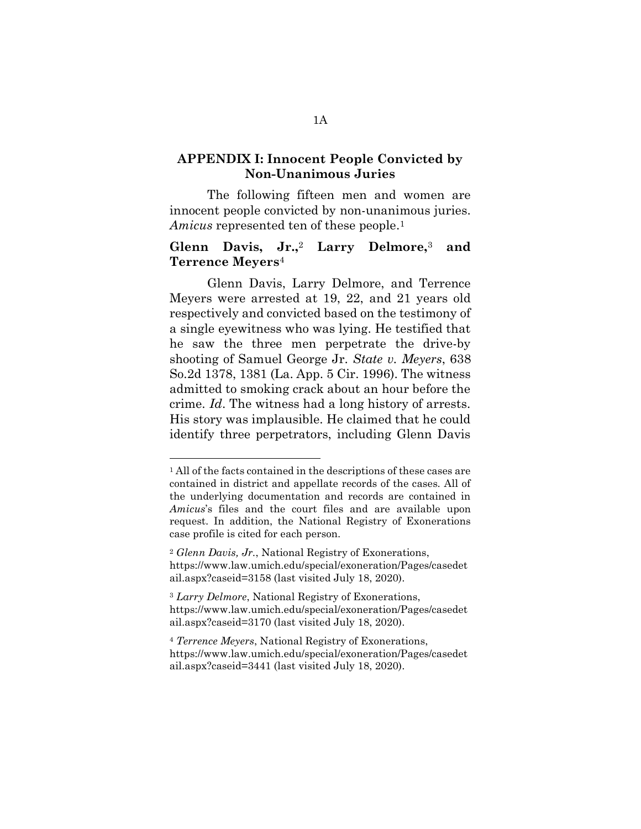# APPENDIX I: Innocent People Convicted by Non-Unanimous Juries

The following fifteen men and women are innocent people convicted by non-unanimous juries. Amicus represented ten of these people.<sup>1</sup>

# Glenn Davis, Jr.,<sup>2</sup> Larry Delmore,<sup>3</sup> and Terrence Meyers<sup>4</sup>

 Glenn Davis, Larry Delmore, and Terrence Meyers were arrested at 19, 22, and 21 years old respectively and convicted based on the testimony of a single eyewitness who was lying. He testified that he saw the three men perpetrate the drive-by shooting of Samuel George Jr. State v. Meyers, 638 So.2d 1378, 1381 (La. App. 5 Cir. 1996). The witness admitted to smoking crack about an hour before the crime. Id. The witness had a long history of arrests. His story was implausible. He claimed that he could identify three perpetrators, including Glenn Davis

 $\overline{a}$ 

<sup>3</sup> Larry Delmore, National Registry of Exonerations, https://www.law.umich.edu/special/exoneration/Pages/casedet ail.aspx?caseid=3170 (last visited July 18, 2020).

<sup>4</sup> Terrence Meyers, National Registry of Exonerations, https://www.law.umich.edu/special/exoneration/Pages/casedet ail.aspx?caseid=3441 (last visited July 18, 2020).

<sup>1</sup> All of the facts contained in the descriptions of these cases are contained in district and appellate records of the cases. All of the underlying documentation and records are contained in Amicus's files and the court files and are available upon request. In addition, the National Registry of Exonerations case profile is cited for each person.

<sup>2</sup> Glenn Davis, Jr., National Registry of Exonerations, https://www.law.umich.edu/special/exoneration/Pages/casedet ail.aspx?caseid=3158 (last visited July 18, 2020).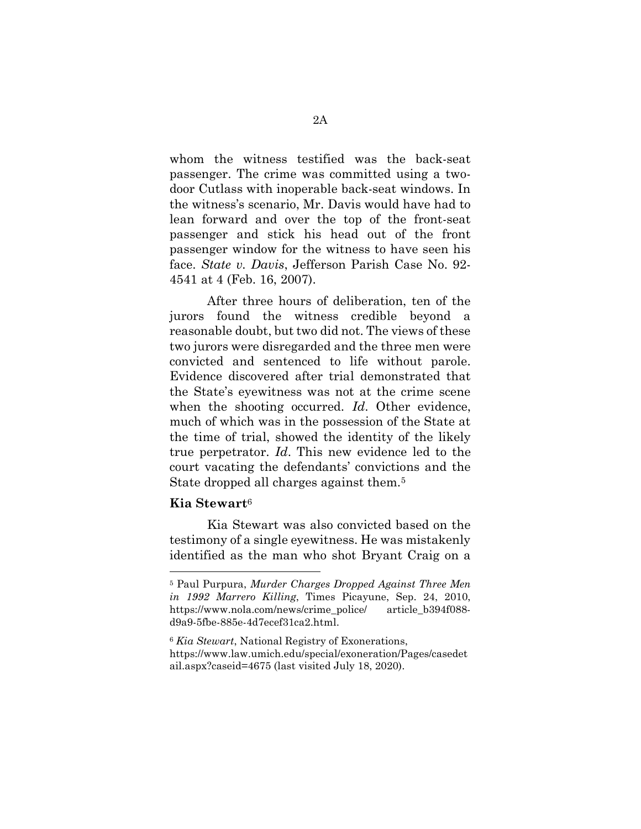whom the witness testified was the back-seat passenger. The crime was committed using a twodoor Cutlass with inoperable back-seat windows. In the witness's scenario, Mr. Davis would have had to lean forward and over the top of the front-seat passenger and stick his head out of the front passenger window for the witness to have seen his face. State v. Davis, Jefferson Parish Case No. 92- 4541 at 4 (Feb. 16, 2007).

After three hours of deliberation, ten of the jurors found the witness credible beyond a reasonable doubt, but two did not. The views of these two jurors were disregarded and the three men were convicted and sentenced to life without parole. Evidence discovered after trial demonstrated that the State's eyewitness was not at the crime scene when the shooting occurred. Id. Other evidence, much of which was in the possession of the State at the time of trial, showed the identity of the likely true perpetrator. Id. This new evidence led to the court vacating the defendants' convictions and the State dropped all charges against them.<sup>5</sup>

#### Kia Stewart<sup>6</sup>

-

Kia Stewart was also convicted based on the testimony of a single eyewitness. He was mistakenly identified as the man who shot Bryant Craig on a

 $6$  Kia Stewart, National Registry of Exonerations, https://www.law.umich.edu/special/exoneration/Pages/casedet ail.aspx?caseid=4675 (last visited July 18, 2020).

<sup>5</sup> Paul Purpura, Murder Charges Dropped Against Three Men in 1992 Marrero Killing, Times Picayune, Sep. 24, 2010, https://www.nola.com/news/crime\_police/ article\_b394f088 d9a9-5fbe-885e-4d7ecef31ca2.html.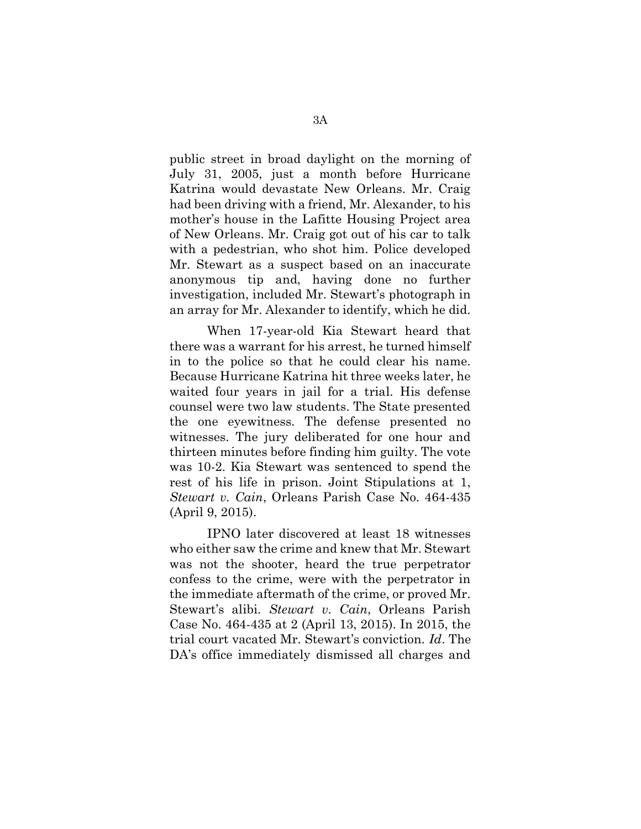public street in broad daylight on the morning of July 31, 2005, just a month before Hurricane Katrina would devastate New Orleans. Mr. Craig had been driving with a friend, Mr. Alexander, to his mother's house in the Lafitte Housing Project area of New Orleans. Mr. Craig got out of his car to talk with a pedestrian, who shot him. Police developed Mr. Stewart as a suspect based on an inaccurate anonymous tip and, having done no further investigation, included Mr. Stewart's photograph in an array for Mr. Alexander to identify, which he did.

When 17-year-old Kia Stewart heard that there was a warrant for his arrest, he turned himself in to the police so that he could clear his name. Because Hurricane Katrina hit three weeks later, he waited four years in jail for a trial. His defense counsel were two law students. The State presented the one eyewitness. The defense presented no witnesses. The jury deliberated for one hour and thirteen minutes before finding him guilty. The vote was 10-2. Kia Stewart was sentenced to spend the rest of his life in prison. Joint Stipulations at 1, Stewart v. Cain, Orleans Parish Case No. 464-435 (April 9, 2015).

IPNO later discovered at least 18 witnesses who either saw the crime and knew that Mr. Stewart was not the shooter, heard the true perpetrator confess to the crime, were with the perpetrator in the immediate aftermath of the crime, or proved Mr. Stewart's alibi. Stewart v. Cain, Orleans Parish Case No. 464-435 at 2 (April 13, 2015). In 2015, the trial court vacated Mr. Stewart's conviction. Id. The DA's office immediately dismissed all charges and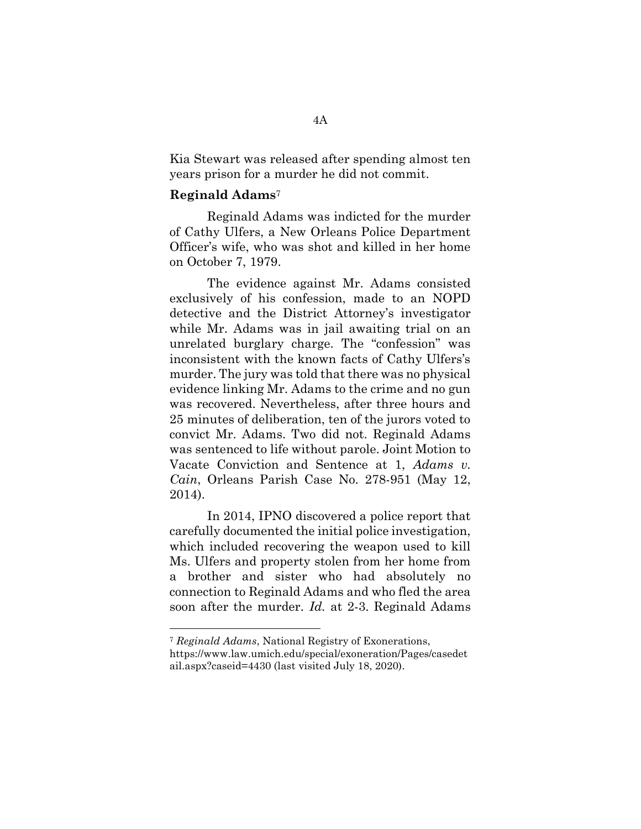Kia Stewart was released after spending almost ten years prison for a murder he did not commit.

## Reginald Adams<sup>7</sup>

Reginald Adams was indicted for the murder of Cathy Ulfers, a New Orleans Police Department Officer's wife, who was shot and killed in her home on October 7, 1979.

The evidence against Mr. Adams consisted exclusively of his confession, made to an NOPD detective and the District Attorney's investigator while Mr. Adams was in jail awaiting trial on an unrelated burglary charge. The "confession" was inconsistent with the known facts of Cathy Ulfers's murder. The jury was told that there was no physical evidence linking Mr. Adams to the crime and no gun was recovered. Nevertheless, after three hours and 25 minutes of deliberation, ten of the jurors voted to convict Mr. Adams. Two did not. Reginald Adams was sentenced to life without parole. Joint Motion to Vacate Conviction and Sentence at 1, Adams v. Cain, Orleans Parish Case No. 278-951 (May 12, 2014).

In 2014, IPNO discovered a police report that carefully documented the initial police investigation, which included recovering the weapon used to kill Ms. Ulfers and property stolen from her home from a brother and sister who had absolutely no connection to Reginald Adams and who fled the area soon after the murder. *Id.* at 2-3. Reginald Adams

<sup>7</sup> Reginald Adams, National Registry of Exonerations,

https://www.law.umich.edu/special/exoneration/Pages/casedet ail.aspx?caseid=4430 (last visited July 18, 2020).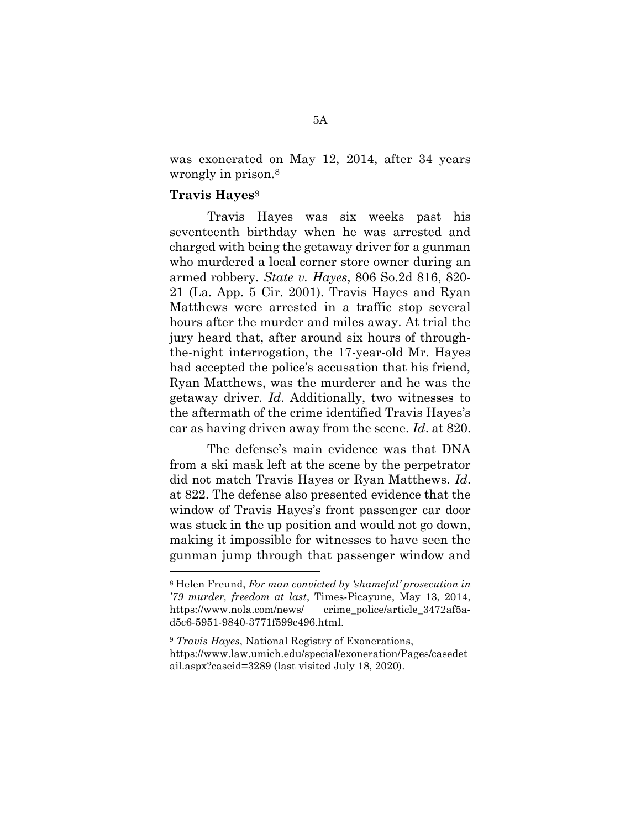was exonerated on May 12, 2014, after 34 years wrongly in prison.<sup>8</sup>

# Travis Hayes<sup>9</sup>

-

 Travis Hayes was six weeks past his seventeenth birthday when he was arrested and charged with being the getaway driver for a gunman who murdered a local corner store owner during an armed robbery. State v. Hayes, 806 So.2d 816, 820- 21 (La. App. 5 Cir. 2001). Travis Hayes and Ryan Matthews were arrested in a traffic stop several hours after the murder and miles away. At trial the jury heard that, after around six hours of throughthe-night interrogation, the 17-year-old Mr. Hayes had accepted the police's accusation that his friend, Ryan Matthews, was the murderer and he was the getaway driver. Id. Additionally, two witnesses to the aftermath of the crime identified Travis Hayes's car as having driven away from the scene. Id. at 820.

The defense's main evidence was that DNA from a ski mask left at the scene by the perpetrator did not match Travis Hayes or Ryan Matthews. Id. at 822. The defense also presented evidence that the window of Travis Hayes's front passenger car door was stuck in the up position and would not go down, making it impossible for witnesses to have seen the gunman jump through that passenger window and

<sup>8</sup> Helen Freund, For man convicted by 'shameful' prosecution in '79 murder, freedom at last, Times-Picayune, May 13, 2014, https://www.nola.com/news/ crime\_police/article\_3472af5ad5c6-5951-9840-3771f599c496.html.

<sup>&</sup>lt;sup>9</sup> Travis Hayes, National Registry of Exonerations, https://www.law.umich.edu/special/exoneration/Pages/casedet ail.aspx?caseid=3289 (last visited July 18, 2020).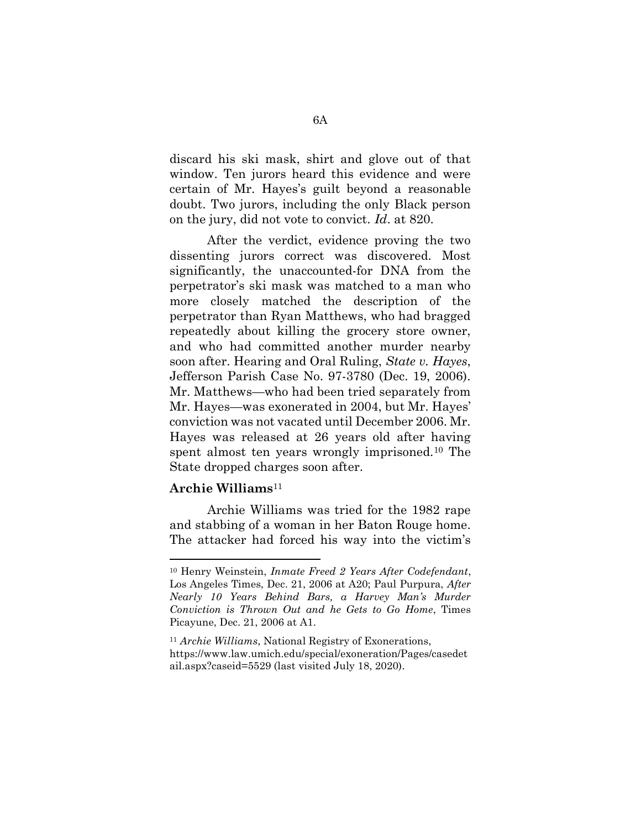discard his ski mask, shirt and glove out of that window. Ten jurors heard this evidence and were certain of Mr. Hayes's guilt beyond a reasonable doubt. Two jurors, including the only Black person on the jury, did not vote to convict. Id. at 820.

After the verdict, evidence proving the two dissenting jurors correct was discovered. Most significantly, the unaccounted-for DNA from the perpetrator's ski mask was matched to a man who more closely matched the description of the perpetrator than Ryan Matthews, who had bragged repeatedly about killing the grocery store owner, and who had committed another murder nearby soon after. Hearing and Oral Ruling, State v. Hayes, Jefferson Parish Case No. 97-3780 (Dec. 19, 2006). Mr. Matthews—who had been tried separately from Mr. Hayes—was exonerated in 2004, but Mr. Hayes' conviction was not vacated until December 2006. Mr. Hayes was released at 26 years old after having spent almost ten years wrongly imprisoned.10 The State dropped charges soon after.

### $Archie$  Williams<sup>11</sup>

Archie Williams was tried for the 1982 rape and stabbing of a woman in her Baton Rouge home. The attacker had forced his way into the victim's

<sup>10</sup> Henry Weinstein, Inmate Freed 2 Years After Codefendant, Los Angeles Times, Dec. 21, 2006 at A20; Paul Purpura, After Nearly 10 Years Behind Bars, a Harvey Man's Murder Conviction is Thrown Out and he Gets to Go Home, Times Picayune, Dec. 21, 2006 at A1.

<sup>11</sup> Archie Williams, National Registry of Exonerations, https://www.law.umich.edu/special/exoneration/Pages/casedet ail.aspx?caseid=5529 (last visited July 18, 2020).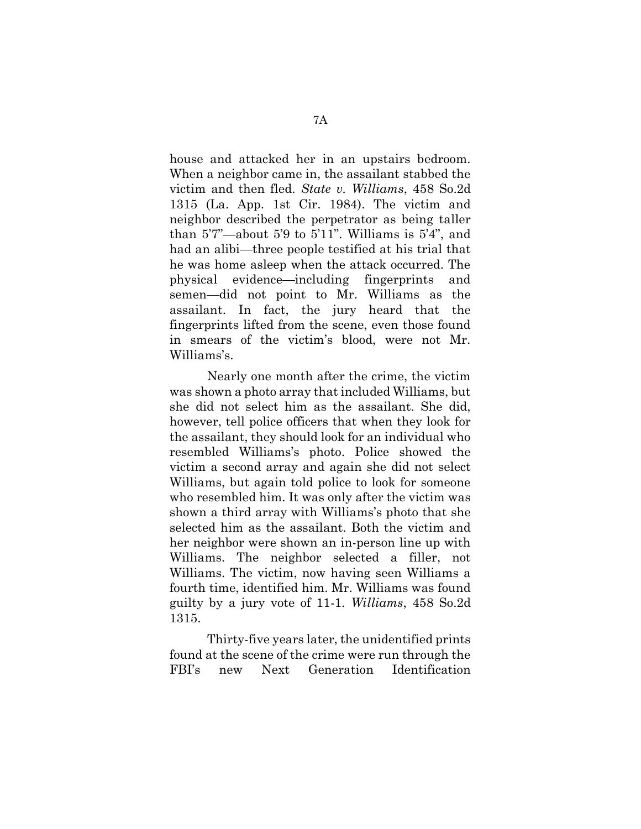house and attacked her in an upstairs bedroom. When a neighbor came in, the assailant stabbed the victim and then fled. State v. Williams, 458 So.2d 1315 (La. App. 1st Cir. 1984). The victim and neighbor described the perpetrator as being taller than 5'7"—about 5'9 to 5'11". Williams is 5'4", and had an alibi—three people testified at his trial that he was home asleep when the attack occurred. The physical evidence—including fingerprints and semen—did not point to Mr. Williams as the assailant. In fact, the jury heard that the fingerprints lifted from the scene, even those found in smears of the victim's blood, were not Mr. Williams's.

Nearly one month after the crime, the victim was shown a photo array that included Williams, but she did not select him as the assailant. She did, however, tell police officers that when they look for the assailant, they should look for an individual who resembled Williams's photo. Police showed the victim a second array and again she did not select Williams, but again told police to look for someone who resembled him. It was only after the victim was shown a third array with Williams's photo that she selected him as the assailant. Both the victim and her neighbor were shown an in-person line up with Williams. The neighbor selected a filler, not Williams. The victim, now having seen Williams a fourth time, identified him. Mr. Williams was found guilty by a jury vote of 11-1. Williams, 458 So.2d 1315.

Thirty-five years later, the unidentified prints found at the scene of the crime were run through the FBI's new Next Generation Identification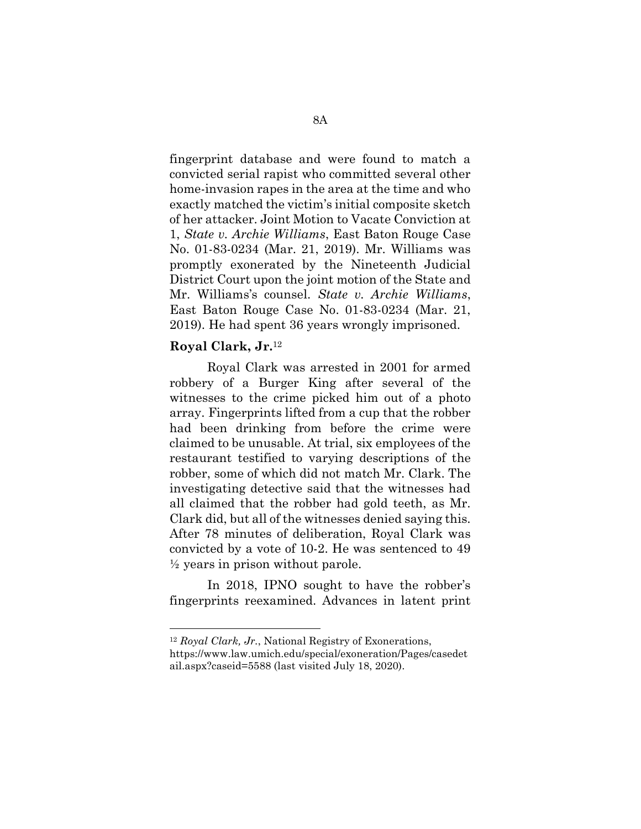fingerprint database and were found to match a convicted serial rapist who committed several other home-invasion rapes in the area at the time and who exactly matched the victim's initial composite sketch of her attacker. Joint Motion to Vacate Conviction at 1, State v. Archie Williams, East Baton Rouge Case No. 01-83-0234 (Mar. 21, 2019). Mr. Williams was promptly exonerated by the Nineteenth Judicial District Court upon the joint motion of the State and Mr. Williams's counsel. State v. Archie Williams, East Baton Rouge Case No. 01-83-0234 (Mar. 21, 2019). He had spent 36 years wrongly imprisoned.

### Royal Clark, Jr.<sup>12</sup>

 $\overline{a}$ 

Royal Clark was arrested in 2001 for armed robbery of a Burger King after several of the witnesses to the crime picked him out of a photo array. Fingerprints lifted from a cup that the robber had been drinking from before the crime were claimed to be unusable. At trial, six employees of the restaurant testified to varying descriptions of the robber, some of which did not match Mr. Clark. The investigating detective said that the witnesses had all claimed that the robber had gold teeth, as Mr. Clark did, but all of the witnesses denied saying this. After 78 minutes of deliberation, Royal Clark was convicted by a vote of 10-2. He was sentenced to 49  $\frac{1}{2}$  years in prison without parole.

In 2018, IPNO sought to have the robber's fingerprints reexamined. Advances in latent print

 $12$  Royal Clark, Jr., National Registry of Exonerations,

https://www.law.umich.edu/special/exoneration/Pages/casedet ail.aspx?caseid=5588 (last visited July 18, 2020).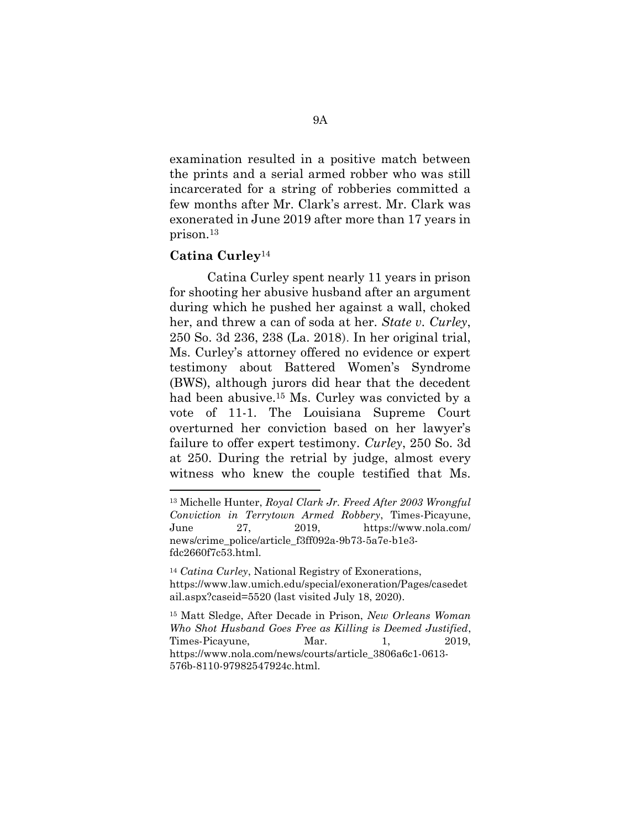examination resulted in a positive match between the prints and a serial armed robber who was still incarcerated for a string of robberies committed a few months after Mr. Clark's arrest. Mr. Clark was exonerated in June 2019 after more than 17 years in prison.<sup>13</sup>

### Catina Curley<sup>14</sup>

Catina Curley spent nearly 11 years in prison for shooting her abusive husband after an argument during which he pushed her against a wall, choked her, and threw a can of soda at her. State v. Curley, 250 So. 3d 236, 238 (La. 2018). In her original trial, Ms. Curley's attorney offered no evidence or expert testimony about Battered Women's Syndrome (BWS), although jurors did hear that the decedent had been abusive.<sup>15</sup> Ms. Curley was convicted by a vote of 11-1. The Louisiana Supreme Court overturned her conviction based on her lawyer's failure to offer expert testimony. Curley, 250 So. 3d at 250. During the retrial by judge, almost every witness who knew the couple testified that Ms.

<sup>13</sup> Michelle Hunter, Royal Clark Jr. Freed After 2003 Wrongful Conviction in Terrytown Armed Robbery, Times-Picayune, June 27, 2019, https://www.nola.com/ news/crime\_police/article\_f3ff092a-9b73-5a7e-b1e3 fdc2660f7c53.html.

<sup>&</sup>lt;sup>14</sup> Catina Curley, National Registry of Exonerations, https://www.law.umich.edu/special/exoneration/Pages/casedet ail.aspx?caseid=5520 (last visited July 18, 2020).

<sup>15</sup> Matt Sledge, After Decade in Prison, New Orleans Woman Who Shot Husband Goes Free as Killing is Deemed Justified, Times-Picayune, Mar. 1, 2019, https://www.nola.com/news/courts/article\_3806a6c1-0613- 576b-8110-97982547924c.html.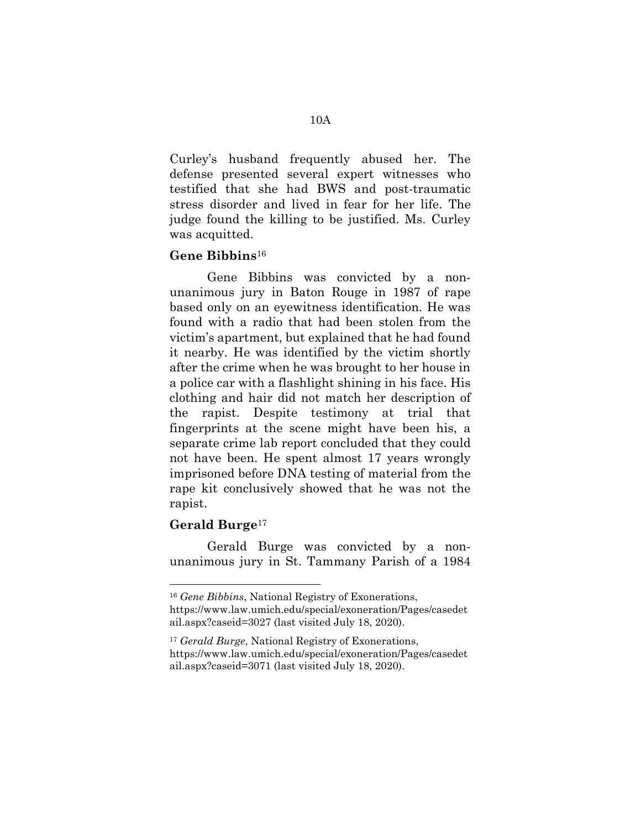Curley's husband frequently abused her. The defense presented several expert witnesses who testified that she had BWS and post-traumatic stress disorder and lived in fear for her life. The judge found the killing to be justified. Ms. Curley was acquitted.

# Gene Bibbins<sup>16</sup>

Gene Bibbins was convicted by a nonunanimous jury in Baton Rouge in 1987 of rape based only on an eyewitness identification. He was found with a radio that had been stolen from the victim's apartment, but explained that he had found it nearby. He was identified by the victim shortly after the crime when he was brought to her house in a police car with a flashlight shining in his face. His clothing and hair did not match her description of the rapist. Despite testimony at trial that fingerprints at the scene might have been his, a separate crime lab report concluded that they could not have been. He spent almost 17 years wrongly imprisoned before DNA testing of material from the rape kit conclusively showed that he was not the rapist.

### Gerald Burge<sup>17</sup>

-

Gerald Burge was convicted by a nonunanimous jury in St. Tammany Parish of a 1984

<sup>16</sup> Gene Bibbins, National Registry of Exonerations,

https://www.law.umich.edu/special/exoneration/Pages/casedet ail.aspx?caseid=3027 (last visited July 18, 2020).

<sup>&</sup>lt;sup>17</sup> Gerald Burge, National Registry of Exonerations, https://www.law.umich.edu/special/exoneration/Pages/casedet ail.aspx?caseid=3071 (last visited July 18, 2020).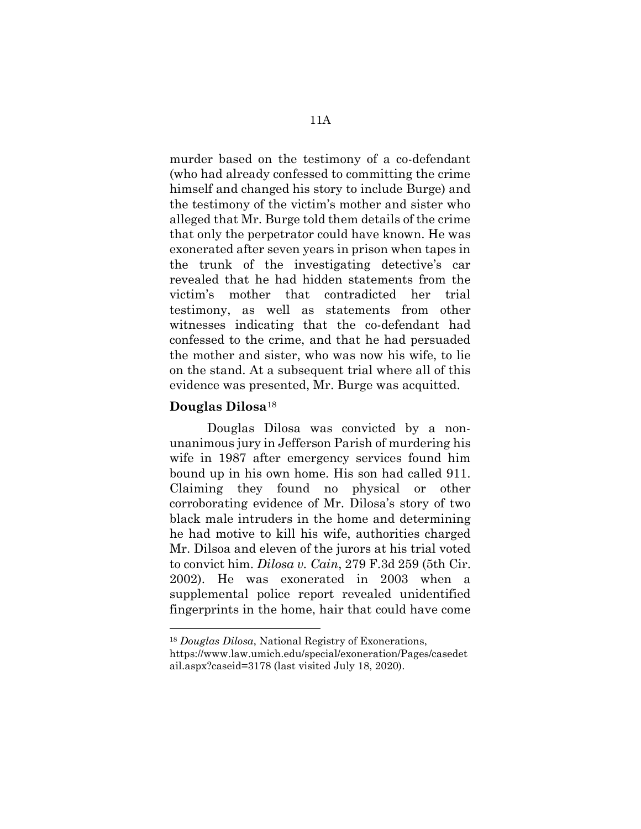murder based on the testimony of a co-defendant (who had already confessed to committing the crime himself and changed his story to include Burge) and the testimony of the victim's mother and sister who alleged that Mr. Burge told them details of the crime that only the perpetrator could have known. He was exonerated after seven years in prison when tapes in the trunk of the investigating detective's car revealed that he had hidden statements from the victim's mother that contradicted her trial testimony, as well as statements from other witnesses indicating that the co-defendant had confessed to the crime, and that he had persuaded the mother and sister, who was now his wife, to lie on the stand. At a subsequent trial where all of this evidence was presented, Mr. Burge was acquitted.

### Douglas Dilosa<sup>18</sup>

-

Douglas Dilosa was convicted by a nonunanimous jury in Jefferson Parish of murdering his wife in 1987 after emergency services found him bound up in his own home. His son had called 911. Claiming they found no physical or other corroborating evidence of Mr. Dilosa's story of two black male intruders in the home and determining he had motive to kill his wife, authorities charged Mr. Dilsoa and eleven of the jurors at his trial voted to convict him. Dilosa v. Cain, 279 F.3d 259 (5th Cir. 2002). He was exonerated in 2003 when a supplemental police report revealed unidentified fingerprints in the home, hair that could have come

<sup>18</sup> Douglas Dilosa, National Registry of Exonerations,

https://www.law.umich.edu/special/exoneration/Pages/casedet ail.aspx?caseid=3178 (last visited July 18, 2020).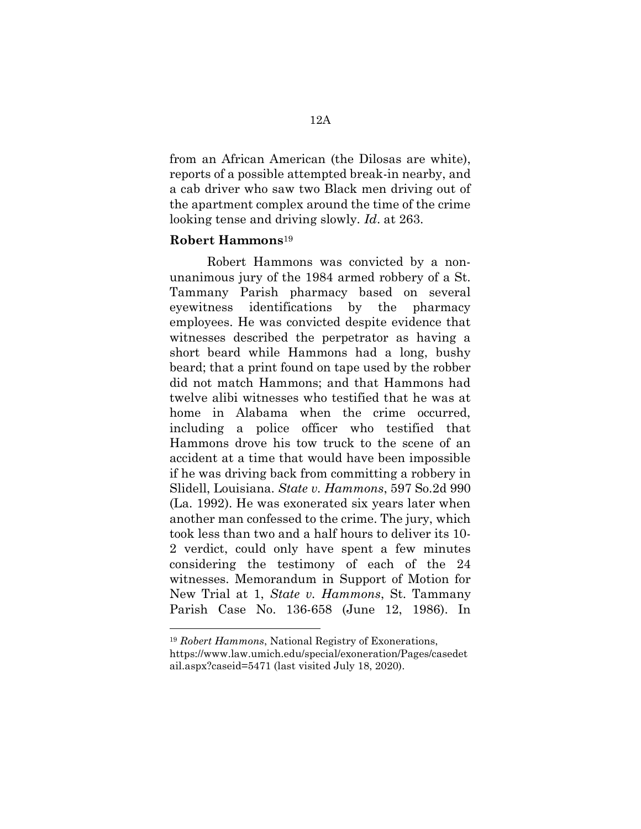from an African American (the Dilosas are white), reports of a possible attempted break-in nearby, and a cab driver who saw two Black men driving out of the apartment complex around the time of the crime looking tense and driving slowly. Id. at 263.

### Robert Hammons<sup>19</sup>

-

Robert Hammons was convicted by a nonunanimous jury of the 1984 armed robbery of a St. Tammany Parish pharmacy based on several eyewitness identifications by the pharmacy employees. He was convicted despite evidence that witnesses described the perpetrator as having a short beard while Hammons had a long, bushy beard; that a print found on tape used by the robber did not match Hammons; and that Hammons had twelve alibi witnesses who testified that he was at home in Alabama when the crime occurred, including a police officer who testified that Hammons drove his tow truck to the scene of an accident at a time that would have been impossible if he was driving back from committing a robbery in Slidell, Louisiana. State v. Hammons, 597 So.2d 990 (La. 1992). He was exonerated six years later when another man confessed to the crime. The jury, which took less than two and a half hours to deliver its 10- 2 verdict, could only have spent a few minutes considering the testimony of each of the 24 witnesses. Memorandum in Support of Motion for New Trial at 1, State v. Hammons, St. Tammany Parish Case No. 136-658 (June 12, 1986). In

<sup>19</sup> Robert Hammons, National Registry of Exonerations,

https://www.law.umich.edu/special/exoneration/Pages/casedet ail.aspx?caseid=5471 (last visited July 18, 2020).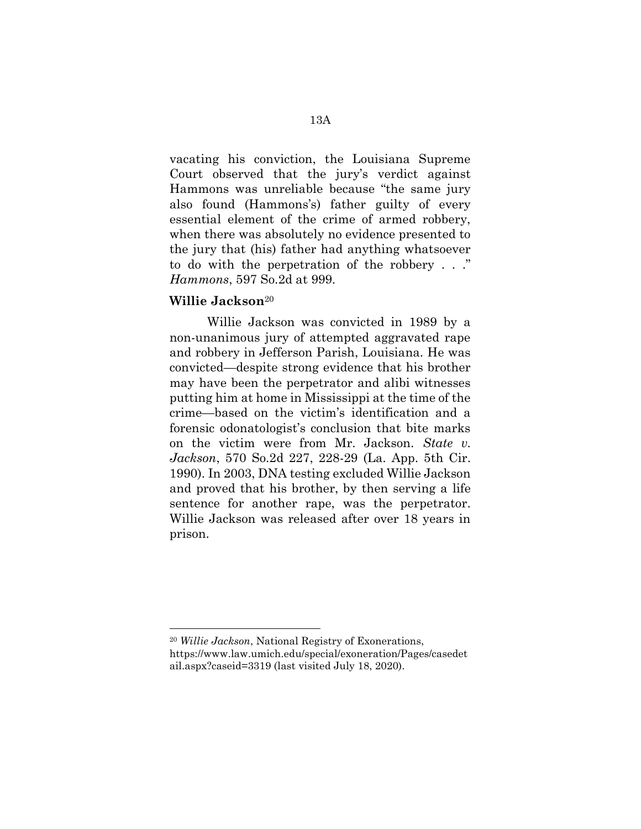vacating his conviction, the Louisiana Supreme Court observed that the jury's verdict against Hammons was unreliable because "the same jury also found (Hammons's) father guilty of every essential element of the crime of armed robbery, when there was absolutely no evidence presented to the jury that (his) father had anything whatsoever to do with the perpetration of the robbery . . ." Hammons, 597 So.2d at 999.

## Willie Jackson<sup>20</sup>

-

Willie Jackson was convicted in 1989 by a non-unanimous jury of attempted aggravated rape and robbery in Jefferson Parish, Louisiana. He was convicted—despite strong evidence that his brother may have been the perpetrator and alibi witnesses putting him at home in Mississippi at the time of the crime—based on the victim's identification and a forensic odonatologist's conclusion that bite marks on the victim were from Mr. Jackson. State v. Jackson, 570 So.2d 227, 228-29 (La. App. 5th Cir. 1990). In 2003, DNA testing excluded Willie Jackson and proved that his brother, by then serving a life sentence for another rape, was the perpetrator. Willie Jackson was released after over 18 years in prison.

<sup>20</sup> Willie Jackson, National Registry of Exonerations, https://www.law.umich.edu/special/exoneration/Pages/casedet ail.aspx?caseid=3319 (last visited July 18, 2020).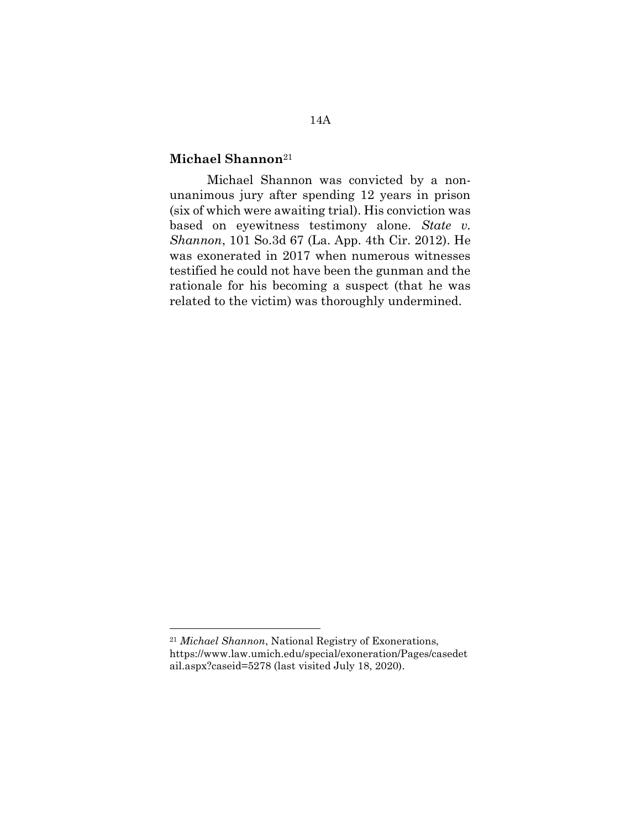## Michael Shannon<sup>21</sup>

Michael Shannon was convicted by a nonunanimous jury after spending 12 years in prison (six of which were awaiting trial). His conviction was based on eyewitness testimony alone. State v. Shannon, 101 So.3d 67 (La. App. 4th Cir. 2012). He was exonerated in 2017 when numerous witnesses testified he could not have been the gunman and the rationale for his becoming a suspect (that he was related to the victim) was thoroughly undermined.

<sup>21</sup> Michael Shannon, National Registry of Exonerations, https://www.law.umich.edu/special/exoneration/Pages/casedet ail.aspx?caseid=5278 (last visited July 18, 2020).